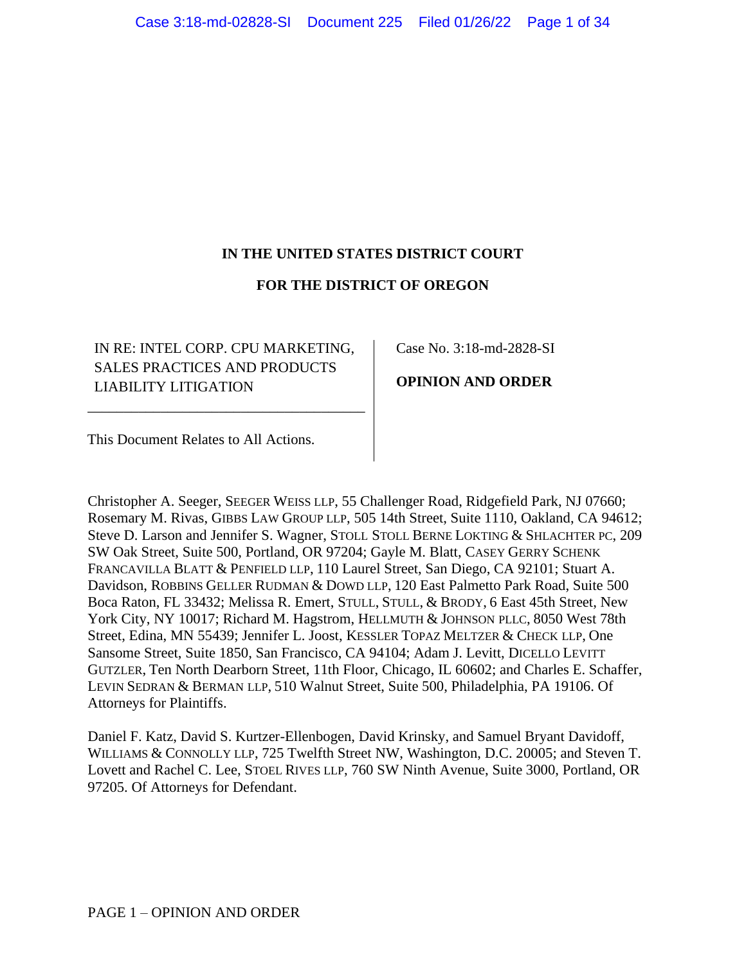# **IN THE UNITED STATES DISTRICT COURT**

## **FOR THE DISTRICT OF OREGON**

IN RE: INTEL CORP. CPU MARKETING, SALES PRACTICES AND PRODUCTS LIABILITY LITIGATION

\_\_\_\_\_\_\_\_\_\_\_\_\_\_\_\_\_\_\_\_\_\_\_\_\_\_\_\_\_\_\_\_\_\_\_\_\_\_

Case No. 3:18-md-2828-SI

**OPINION AND ORDER**

This Document Relates to All Actions.

Christopher A. Seeger, SEEGER WEISS LLP, 55 Challenger Road, Ridgefield Park, NJ 07660; Rosemary M. Rivas, GIBBS LAW GROUP LLP, 505 14th Street, Suite 1110, Oakland, CA 94612; Steve D. Larson and Jennifer S. Wagner, STOLL STOLL BERNE LOKTING & SHLACHTER PC, 209 SW Oak Street, Suite 500, Portland, OR 97204; Gayle M. Blatt, CASEY GERRY SCHENK FRANCAVILLA BLATT & PENFIELD LLP, 110 Laurel Street, San Diego, CA 92101; Stuart A. Davidson, ROBBINS GELLER RUDMAN & DOWD LLP, 120 East Palmetto Park Road, Suite 500 Boca Raton, FL 33432; Melissa R. Emert, STULL, STULL, & BRODY, 6 East 45th Street, New York City, NY 10017; Richard M. Hagstrom, HELLMUTH & JOHNSON PLLC, 8050 West 78th Street, Edina, MN 55439; Jennifer L. Joost, KESSLER TOPAZ MELTZER & CHECK LLP, One Sansome Street, Suite 1850, San Francisco, CA 94104; Adam J. Levitt, DICELLO LEVITT GUTZLER, Ten North Dearborn Street, 11th Floor, Chicago, IL 60602; and Charles E. Schaffer, LEVIN SEDRAN & BERMAN LLP, 510 Walnut Street, Suite 500, Philadelphia, PA 19106. Of Attorneys for Plaintiffs.

Daniel F. Katz, David S. Kurtzer-Ellenbogen, David Krinsky, and Samuel Bryant Davidoff, WILLIAMS & CONNOLLY LLP, 725 Twelfth Street NW, Washington, D.C. 20005; and Steven T. Lovett and Rachel C. Lee, STOEL RIVES LLP, 760 SW Ninth Avenue, Suite 3000, Portland, OR 97205. Of Attorneys for Defendant.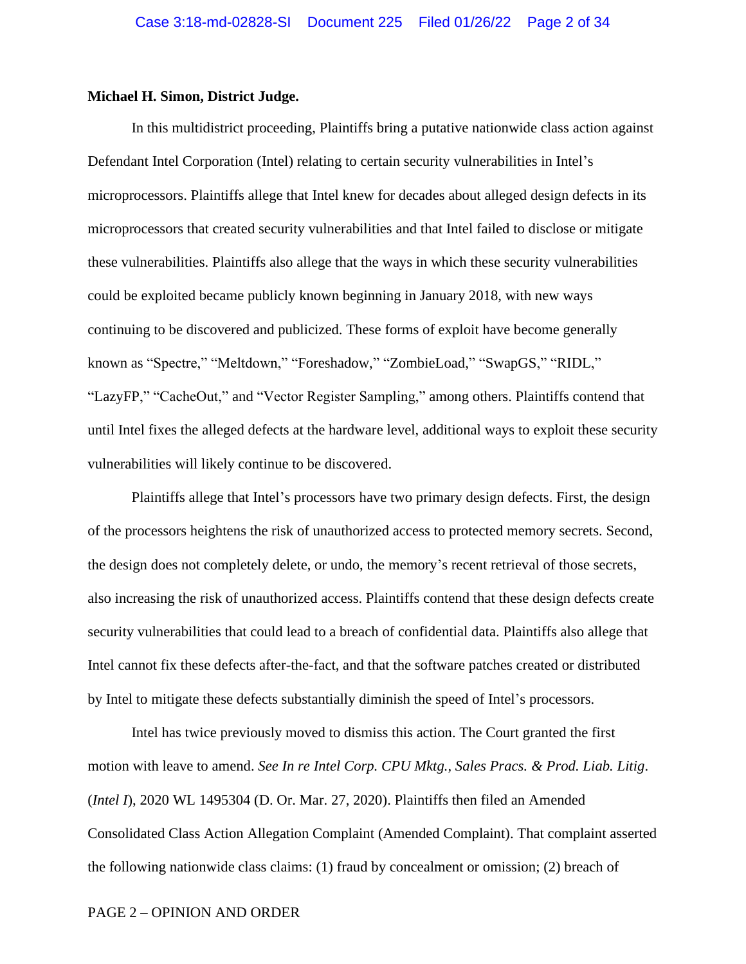### **Michael H. Simon, District Judge.**

In this multidistrict proceeding, Plaintiffs bring a putative nationwide class action against Defendant Intel Corporation (Intel) relating to certain security vulnerabilities in Intel's microprocessors. Plaintiffs allege that Intel knew for decades about alleged design defects in its microprocessors that created security vulnerabilities and that Intel failed to disclose or mitigate these vulnerabilities. Plaintiffs also allege that the ways in which these security vulnerabilities could be exploited became publicly known beginning in January 2018, with new ways continuing to be discovered and publicized. These forms of exploit have become generally known as "Spectre," "Meltdown," "Foreshadow," "ZombieLoad," "SwapGS," "RIDL," "LazyFP," "CacheOut," and "Vector Register Sampling," among others. Plaintiffs contend that until Intel fixes the alleged defects at the hardware level, additional ways to exploit these security vulnerabilities will likely continue to be discovered.

Plaintiffs allege that Intel's processors have two primary design defects. First, the design of the processors heightens the risk of unauthorized access to protected memory secrets. Second, the design does not completely delete, or undo, the memory's recent retrieval of those secrets, also increasing the risk of unauthorized access. Plaintiffs contend that these design defects create security vulnerabilities that could lead to a breach of confidential data. Plaintiffs also allege that Intel cannot fix these defects after-the-fact, and that the software patches created or distributed by Intel to mitigate these defects substantially diminish the speed of Intel's processors.

Intel has twice previously moved to dismiss this action. The Court granted the first motion with leave to amend. *See In re Intel Corp. CPU Mktg., Sales Pracs. & Prod. Liab. Litig*. (*Intel I*), 2020 WL 1495304 (D. Or. Mar. 27, 2020). Plaintiffs then filed an Amended Consolidated Class Action Allegation Complaint (Amended Complaint). That complaint asserted the following nationwide class claims: (1) fraud by concealment or omission; (2) breach of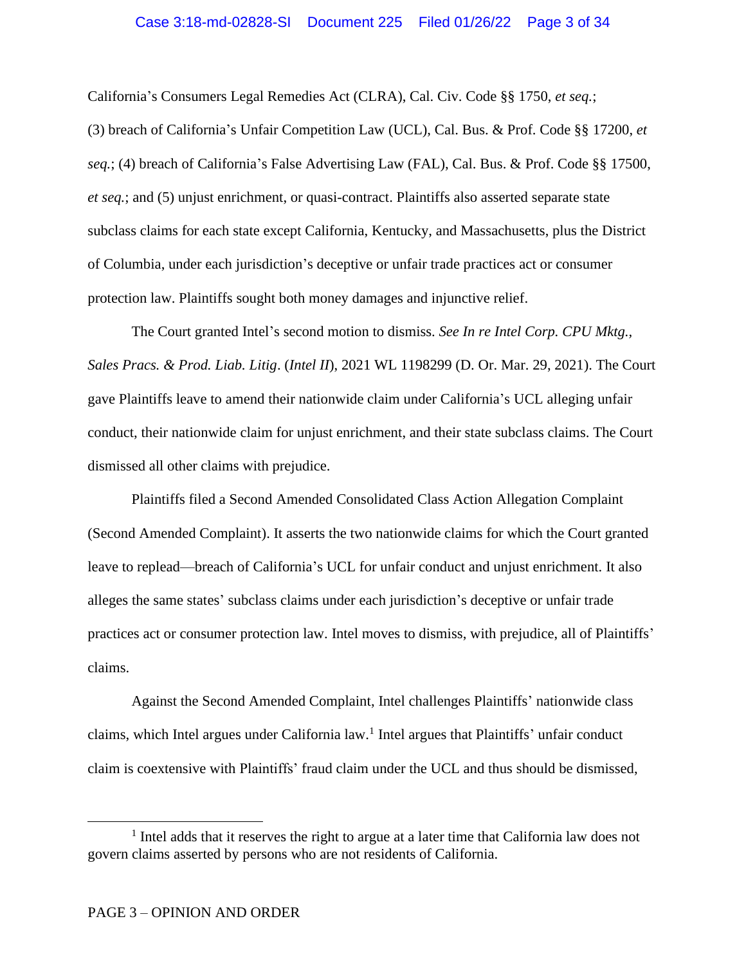California's Consumers Legal Remedies Act (CLRA), Cal. Civ. Code §§ 1750, *et seq.*; (3) breach of California's Unfair Competition Law (UCL), Cal. Bus. & Prof. Code §§ 17200, *et seq.*; (4) breach of California's False Advertising Law (FAL), Cal. Bus. & Prof. Code §§ 17500, *et seq.*; and (5) unjust enrichment, or quasi-contract. Plaintiffs also asserted separate state subclass claims for each state except California, Kentucky, and Massachusetts, plus the District of Columbia, under each jurisdiction's deceptive or unfair trade practices act or consumer protection law. Plaintiffs sought both money damages and injunctive relief.

The Court granted Intel's second motion to dismiss. *See In re Intel Corp. CPU Mktg., Sales Pracs. & Prod. Liab. Litig*. (*Intel II*), 2021 WL 1198299 (D. Or. Mar. 29, 2021). The Court gave Plaintiffs leave to amend their nationwide claim under California's UCL alleging unfair conduct, their nationwide claim for unjust enrichment, and their state subclass claims. The Court dismissed all other claims with prejudice.

Plaintiffs filed a Second Amended Consolidated Class Action Allegation Complaint (Second Amended Complaint). It asserts the two nationwide claims for which the Court granted leave to replead—breach of California's UCL for unfair conduct and unjust enrichment. It also alleges the same states' subclass claims under each jurisdiction's deceptive or unfair trade practices act or consumer protection law. Intel moves to dismiss, with prejudice, all of Plaintiffs' claims.

Against the Second Amended Complaint, Intel challenges Plaintiffs' nationwide class claims, which Intel argues under California law.<sup>1</sup> Intel argues that Plaintiffs' unfair conduct claim is coextensive with Plaintiffs' fraud claim under the UCL and thus should be dismissed,

<sup>&</sup>lt;sup>1</sup> Intel adds that it reserves the right to argue at a later time that California law does not govern claims asserted by persons who are not residents of California.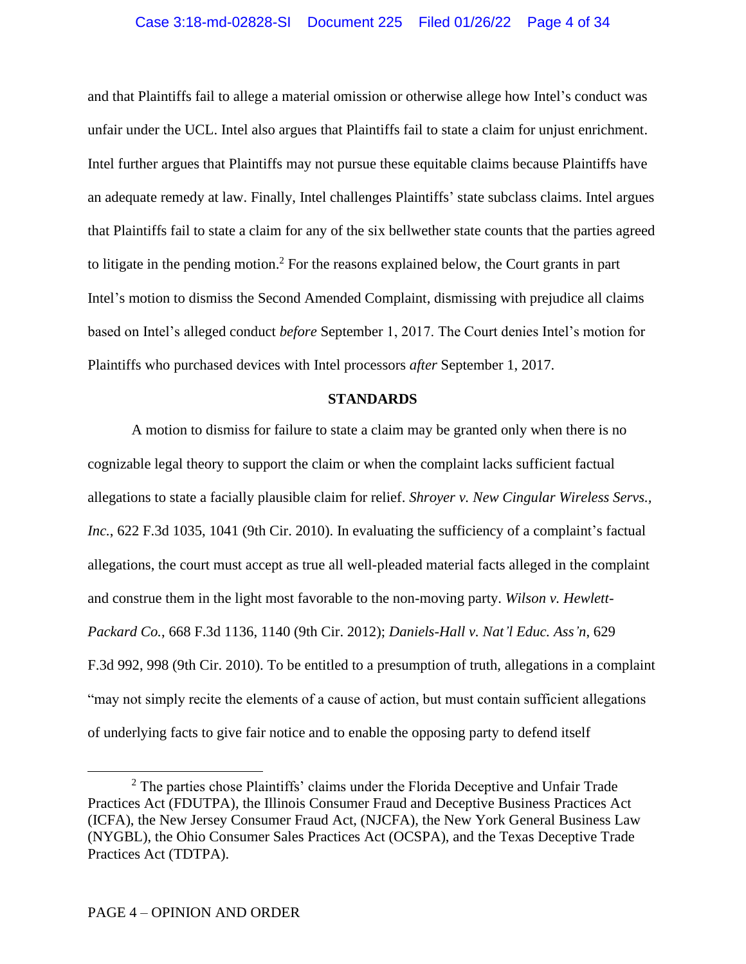# Case 3:18-md-02828-SI Document 225 Filed 01/26/22 Page 4 of 34

and that Plaintiffs fail to allege a material omission or otherwise allege how Intel's conduct was unfair under the UCL. Intel also argues that Plaintiffs fail to state a claim for unjust enrichment. Intel further argues that Plaintiffs may not pursue these equitable claims because Plaintiffs have an adequate remedy at law. Finally, Intel challenges Plaintiffs' state subclass claims. Intel argues that Plaintiffs fail to state a claim for any of the six bellwether state counts that the parties agreed to litigate in the pending motion.<sup>2</sup> For the reasons explained below, the Court grants in part Intel's motion to dismiss the Second Amended Complaint, dismissing with prejudice all claims based on Intel's alleged conduct *before* September 1, 2017. The Court denies Intel's motion for Plaintiffs who purchased devices with Intel processors *after* September 1, 2017.

## **STANDARDS**

A motion to dismiss for failure to state a claim may be granted only when there is no cognizable legal theory to support the claim or when the complaint lacks sufficient factual allegations to state a facially plausible claim for relief. *Shroyer v. New Cingular Wireless Servs., Inc.*, 622 F.3d 1035, 1041 (9th Cir. 2010). In evaluating the sufficiency of a complaint's factual allegations, the court must accept as true all well-pleaded material facts alleged in the complaint and construe them in the light most favorable to the non-moving party. *Wilson v. Hewlett-Packard Co.*, 668 F.3d 1136, 1140 (9th Cir. 2012); *Daniels-Hall v. Nat'l Educ. Ass'n*, 629 F.3d 992, 998 (9th Cir. 2010). To be entitled to a presumption of truth, allegations in a complaint "may not simply recite the elements of a cause of action, but must contain sufficient allegations of underlying facts to give fair notice and to enable the opposing party to defend itself

<sup>&</sup>lt;sup>2</sup> The parties chose Plaintiffs' claims under the Florida Deceptive and Unfair Trade Practices Act (FDUTPA), the Illinois Consumer Fraud and Deceptive Business Practices Act (ICFA), the New Jersey Consumer Fraud Act, (NJCFA), the New York General Business Law (NYGBL), the Ohio Consumer Sales Practices Act (OCSPA), and the Texas Deceptive Trade Practices Act (TDTPA).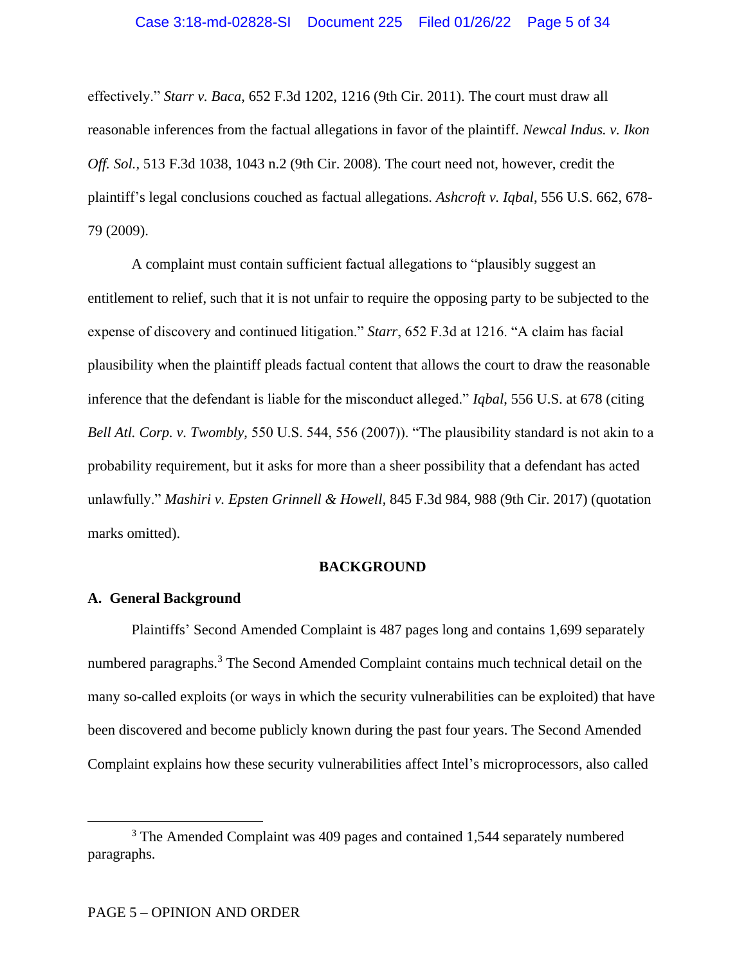effectively." *Starr v. Baca*, 652 F.3d 1202, 1216 (9th Cir. 2011). The court must draw all reasonable inferences from the factual allegations in favor of the plaintiff. *Newcal Indus. v. Ikon Off. Sol.*, 513 F.3d 1038, 1043 n.2 (9th Cir. 2008). The court need not, however, credit the plaintiff's legal conclusions couched as factual allegations. *Ashcroft v. Iqbal*, 556 U.S. 662, 678- 79 (2009).

A complaint must contain sufficient factual allegations to "plausibly suggest an entitlement to relief, such that it is not unfair to require the opposing party to be subjected to the expense of discovery and continued litigation." *Starr*, 652 F.3d at 1216. "A claim has facial plausibility when the plaintiff pleads factual content that allows the court to draw the reasonable inference that the defendant is liable for the misconduct alleged." *Iqbal*, 556 U.S. at 678 (citing *Bell Atl. Corp. v. Twombly*, 550 U.S. 544, 556 (2007)). "The plausibility standard is not akin to a probability requirement, but it asks for more than a sheer possibility that a defendant has acted unlawfully." *Mashiri v. Epsten Grinnell & Howell*, 845 F.3d 984, 988 (9th Cir. 2017) (quotation marks omitted).

### **BACKGROUND**

## **A. General Background**

Plaintiffs' Second Amended Complaint is 487 pages long and contains 1,699 separately numbered paragraphs.<sup>3</sup> The Second Amended Complaint contains much technical detail on the many so-called exploits (or ways in which the security vulnerabilities can be exploited) that have been discovered and become publicly known during the past four years. The Second Amended Complaint explains how these security vulnerabilities affect Intel's microprocessors, also called

<sup>&</sup>lt;sup>3</sup> The Amended Complaint was 409 pages and contained 1,544 separately numbered paragraphs.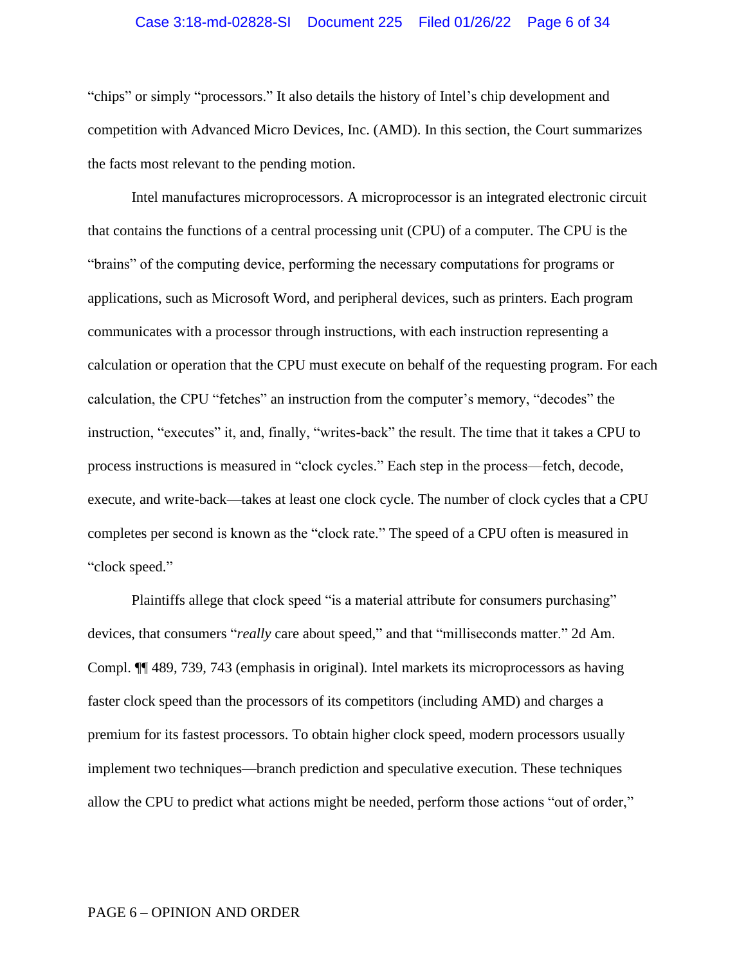### Case 3:18-md-02828-SI Document 225 Filed 01/26/22 Page 6 of 34

"chips" or simply "processors." It also details the history of Intel's chip development and competition with Advanced Micro Devices, Inc. (AMD). In this section, the Court summarizes the facts most relevant to the pending motion.

Intel manufactures microprocessors. A microprocessor is an integrated electronic circuit that contains the functions of a central processing unit (CPU) of a computer. The CPU is the "brains" of the computing device, performing the necessary computations for programs or applications, such as Microsoft Word, and peripheral devices, such as printers. Each program communicates with a processor through instructions, with each instruction representing a calculation or operation that the CPU must execute on behalf of the requesting program. For each calculation, the CPU "fetches" an instruction from the computer's memory, "decodes" the instruction, "executes" it, and, finally, "writes-back" the result. The time that it takes a CPU to process instructions is measured in "clock cycles." Each step in the process—fetch, decode, execute, and write-back—takes at least one clock cycle. The number of clock cycles that a CPU completes per second is known as the "clock rate." The speed of a CPU often is measured in "clock speed."

Plaintiffs allege that clock speed "is a material attribute for consumers purchasing" devices, that consumers "*really* care about speed," and that "milliseconds matter." 2d Am. Compl. ¶¶ 489, 739, 743 (emphasis in original). Intel markets its microprocessors as having faster clock speed than the processors of its competitors (including AMD) and charges a premium for its fastest processors. To obtain higher clock speed, modern processors usually implement two techniques—branch prediction and speculative execution. These techniques allow the CPU to predict what actions might be needed, perform those actions "out of order,"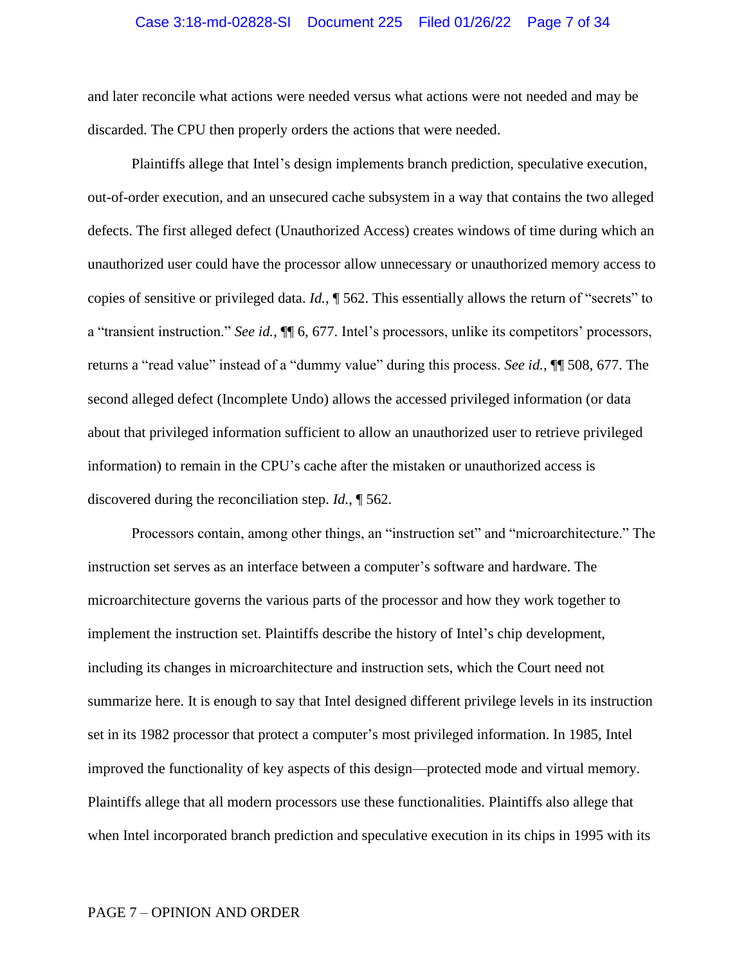### Case 3:18-md-02828-SI Document 225 Filed 01/26/22 Page 7 of 34

and later reconcile what actions were needed versus what actions were not needed and may be discarded. The CPU then properly orders the actions that were needed.

Plaintiffs allege that Intel's design implements branch prediction, speculative execution, out-of-order execution, and an unsecured cache subsystem in a way that contains the two alleged defects. The first alleged defect (Unauthorized Access) creates windows of time during which an unauthorized user could have the processor allow unnecessary or unauthorized memory access to copies of sensitive or privileged data. *Id.*, ¶ 562. This essentially allows the return of "secrets" to a "transient instruction." *See id.*, ¶¶ 6, 677. Intel's processors, unlike its competitors' processors, returns a "read value" instead of a "dummy value" during this process. *See id.*, ¶¶ 508, 677. The second alleged defect (Incomplete Undo) allows the accessed privileged information (or data about that privileged information sufficient to allow an unauthorized user to retrieve privileged information) to remain in the CPU's cache after the mistaken or unauthorized access is discovered during the reconciliation step. *Id.*, ¶ 562.

Processors contain, among other things, an "instruction set" and "microarchitecture." The instruction set serves as an interface between a computer's software and hardware. The microarchitecture governs the various parts of the processor and how they work together to implement the instruction set. Plaintiffs describe the history of Intel's chip development, including its changes in microarchitecture and instruction sets, which the Court need not summarize here. It is enough to say that Intel designed different privilege levels in its instruction set in its 1982 processor that protect a computer's most privileged information. In 1985, Intel improved the functionality of key aspects of this design—protected mode and virtual memory. Plaintiffs allege that all modern processors use these functionalities. Plaintiffs also allege that when Intel incorporated branch prediction and speculative execution in its chips in 1995 with its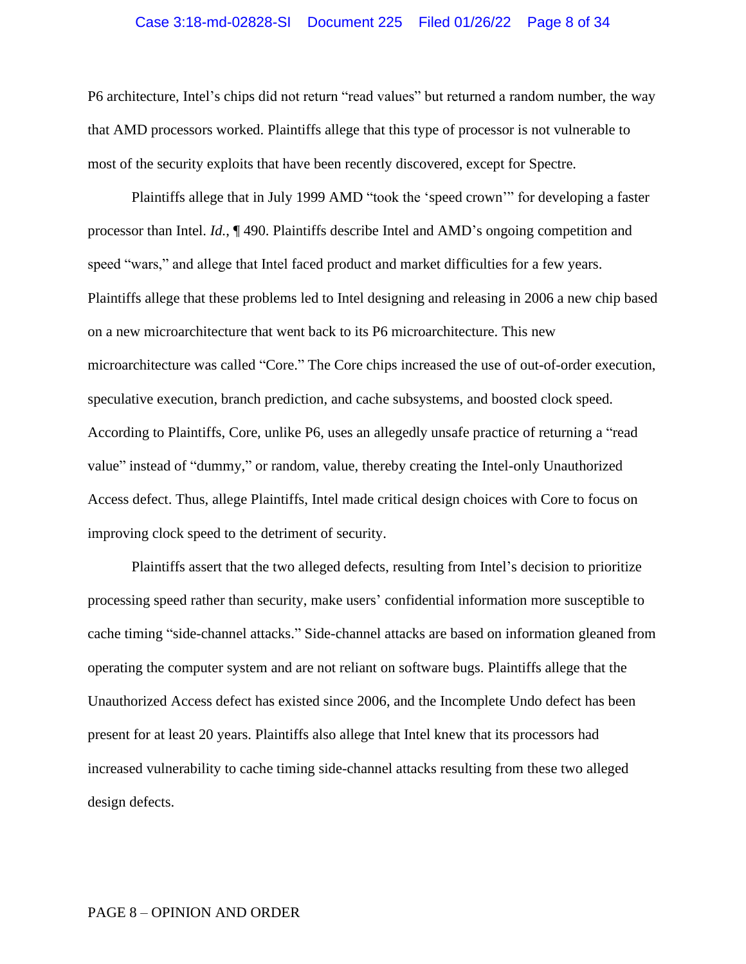### Case 3:18-md-02828-SI Document 225 Filed 01/26/22 Page 8 of 34

P6 architecture, Intel's chips did not return "read values" but returned a random number, the way that AMD processors worked. Plaintiffs allege that this type of processor is not vulnerable to most of the security exploits that have been recently discovered, except for Spectre.

Plaintiffs allege that in July 1999 AMD "took the 'speed crown'" for developing a faster processor than Intel. *Id.*, ¶ 490. Plaintiffs describe Intel and AMD's ongoing competition and speed "wars," and allege that Intel faced product and market difficulties for a few years. Plaintiffs allege that these problems led to Intel designing and releasing in 2006 a new chip based on a new microarchitecture that went back to its P6 microarchitecture. This new microarchitecture was called "Core." The Core chips increased the use of out-of-order execution, speculative execution, branch prediction, and cache subsystems, and boosted clock speed. According to Plaintiffs, Core, unlike P6, uses an allegedly unsafe practice of returning a "read value" instead of "dummy," or random, value, thereby creating the Intel-only Unauthorized Access defect. Thus, allege Plaintiffs, Intel made critical design choices with Core to focus on improving clock speed to the detriment of security.

Plaintiffs assert that the two alleged defects, resulting from Intel's decision to prioritize processing speed rather than security, make users' confidential information more susceptible to cache timing "side-channel attacks." Side-channel attacks are based on information gleaned from operating the computer system and are not reliant on software bugs. Plaintiffs allege that the Unauthorized Access defect has existed since 2006, and the Incomplete Undo defect has been present for at least 20 years. Plaintiffs also allege that Intel knew that its processors had increased vulnerability to cache timing side-channel attacks resulting from these two alleged design defects.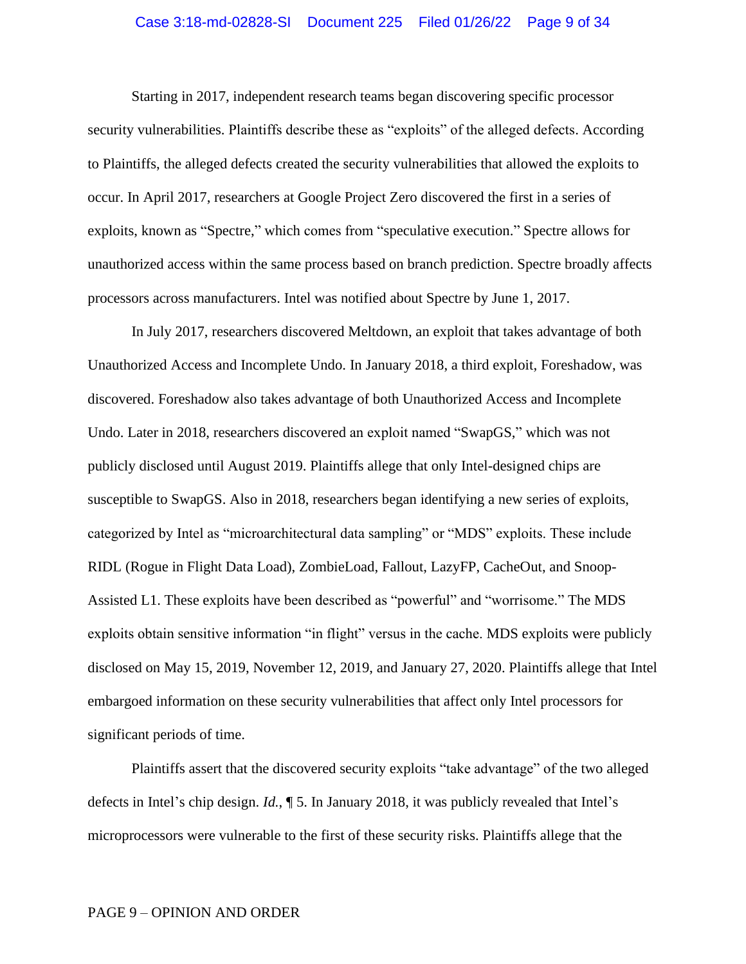## Case 3:18-md-02828-SI Document 225 Filed 01/26/22 Page 9 of 34

Starting in 2017, independent research teams began discovering specific processor security vulnerabilities. Plaintiffs describe these as "exploits" of the alleged defects. According to Plaintiffs, the alleged defects created the security vulnerabilities that allowed the exploits to occur. In April 2017, researchers at Google Project Zero discovered the first in a series of exploits, known as "Spectre," which comes from "speculative execution." Spectre allows for unauthorized access within the same process based on branch prediction. Spectre broadly affects processors across manufacturers. Intel was notified about Spectre by June 1, 2017.

In July 2017, researchers discovered Meltdown, an exploit that takes advantage of both Unauthorized Access and Incomplete Undo. In January 2018, a third exploit, Foreshadow, was discovered. Foreshadow also takes advantage of both Unauthorized Access and Incomplete Undo. Later in 2018, researchers discovered an exploit named "SwapGS," which was not publicly disclosed until August 2019. Plaintiffs allege that only Intel-designed chips are susceptible to SwapGS. Also in 2018, researchers began identifying a new series of exploits, categorized by Intel as "microarchitectural data sampling" or "MDS" exploits. These include RIDL (Rogue in Flight Data Load), ZombieLoad, Fallout, LazyFP, CacheOut, and Snoop-Assisted L1. These exploits have been described as "powerful" and "worrisome." The MDS exploits obtain sensitive information "in flight" versus in the cache. MDS exploits were publicly disclosed on May 15, 2019, November 12, 2019, and January 27, 2020. Plaintiffs allege that Intel embargoed information on these security vulnerabilities that affect only Intel processors for significant periods of time.

Plaintiffs assert that the discovered security exploits "take advantage" of the two alleged defects in Intel's chip design. *Id.*, ¶ 5. In January 2018, it was publicly revealed that Intel's microprocessors were vulnerable to the first of these security risks. Plaintiffs allege that the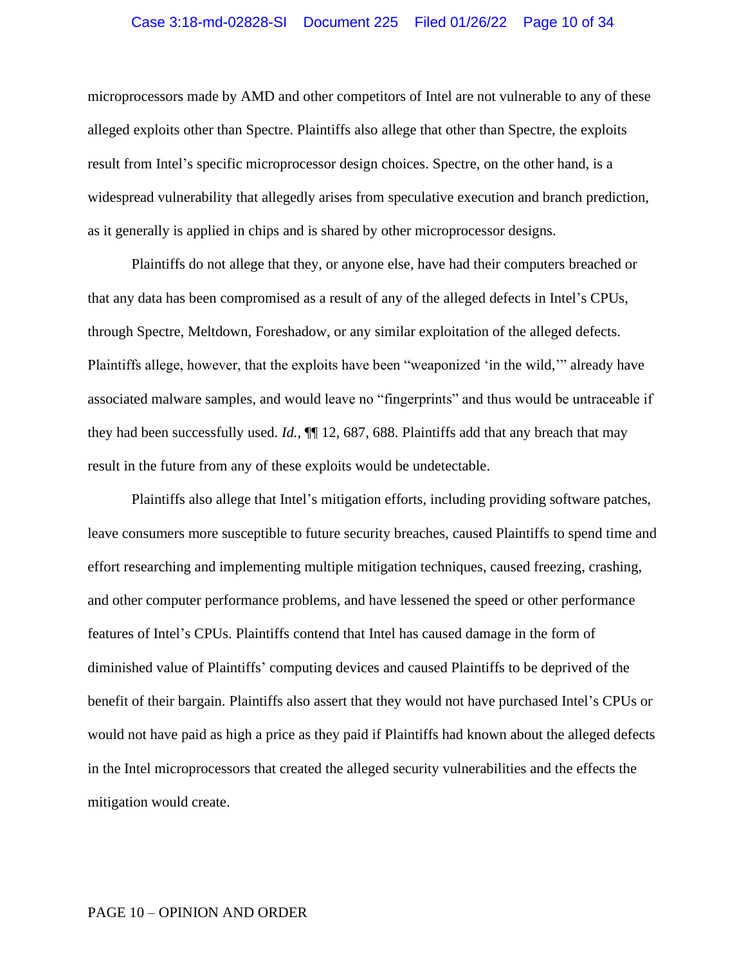### Case 3:18-md-02828-SI Document 225 Filed 01/26/22 Page 10 of 34

microprocessors made by AMD and other competitors of Intel are not vulnerable to any of these alleged exploits other than Spectre. Plaintiffs also allege that other than Spectre, the exploits result from Intel's specific microprocessor design choices. Spectre, on the other hand, is a widespread vulnerability that allegedly arises from speculative execution and branch prediction, as it generally is applied in chips and is shared by other microprocessor designs.

Plaintiffs do not allege that they, or anyone else, have had their computers breached or that any data has been compromised as a result of any of the alleged defects in Intel's CPUs, through Spectre, Meltdown, Foreshadow, or any similar exploitation of the alleged defects. Plaintiffs allege, however, that the exploits have been "weaponized 'in the wild,'" already have associated malware samples, and would leave no "fingerprints" and thus would be untraceable if they had been successfully used. *Id.*, ¶¶ 12, 687, 688. Plaintiffs add that any breach that may result in the future from any of these exploits would be undetectable.

Plaintiffs also allege that Intel's mitigation efforts, including providing software patches, leave consumers more susceptible to future security breaches, caused Plaintiffs to spend time and effort researching and implementing multiple mitigation techniques, caused freezing, crashing, and other computer performance problems, and have lessened the speed or other performance features of Intel's CPUs. Plaintiffs contend that Intel has caused damage in the form of diminished value of Plaintiffs' computing devices and caused Plaintiffs to be deprived of the benefit of their bargain. Plaintiffs also assert that they would not have purchased Intel's CPUs or would not have paid as high a price as they paid if Plaintiffs had known about the alleged defects in the Intel microprocessors that created the alleged security vulnerabilities and the effects the mitigation would create.

### PAGE 10 – OPINION AND ORDER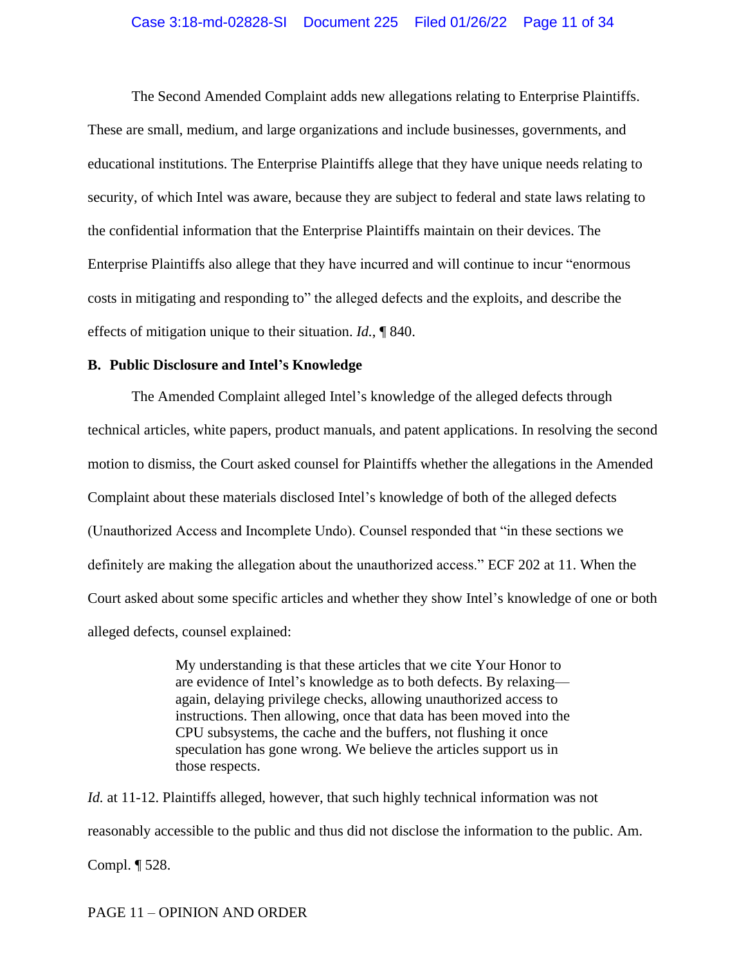### Case 3:18-md-02828-SI Document 225 Filed 01/26/22 Page 11 of 34

The Second Amended Complaint adds new allegations relating to Enterprise Plaintiffs. These are small, medium, and large organizations and include businesses, governments, and educational institutions. The Enterprise Plaintiffs allege that they have unique needs relating to security, of which Intel was aware, because they are subject to federal and state laws relating to the confidential information that the Enterprise Plaintiffs maintain on their devices. The Enterprise Plaintiffs also allege that they have incurred and will continue to incur "enormous costs in mitigating and responding to" the alleged defects and the exploits, and describe the effects of mitigation unique to their situation. *Id.*, ¶ 840.

## **B. Public Disclosure and Intel's Knowledge**

The Amended Complaint alleged Intel's knowledge of the alleged defects through technical articles, white papers, product manuals, and patent applications. In resolving the second motion to dismiss, the Court asked counsel for Plaintiffs whether the allegations in the Amended Complaint about these materials disclosed Intel's knowledge of both of the alleged defects (Unauthorized Access and Incomplete Undo). Counsel responded that "in these sections we definitely are making the allegation about the unauthorized access." ECF 202 at 11. When the Court asked about some specific articles and whether they show Intel's knowledge of one or both alleged defects, counsel explained:

> My understanding is that these articles that we cite Your Honor to are evidence of Intel's knowledge as to both defects. By relaxing again, delaying privilege checks, allowing unauthorized access to instructions. Then allowing, once that data has been moved into the CPU subsystems, the cache and the buffers, not flushing it once speculation has gone wrong. We believe the articles support us in those respects.

*Id.* at 11-12. Plaintiffs alleged, however, that such highly technical information was not reasonably accessible to the public and thus did not disclose the information to the public. Am. Compl. ¶ 528.

### PAGE 11 – OPINION AND ORDER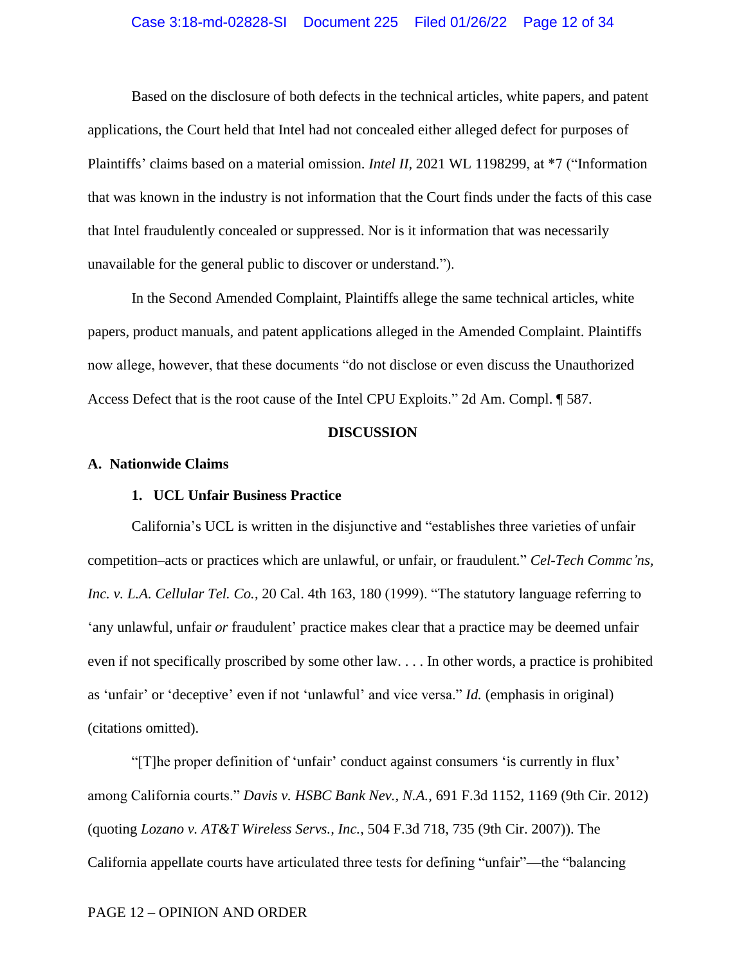## Case 3:18-md-02828-SI Document 225 Filed 01/26/22 Page 12 of 34

Based on the disclosure of both defects in the technical articles, white papers, and patent applications, the Court held that Intel had not concealed either alleged defect for purposes of Plaintiffs' claims based on a material omission. *Intel II*, 2021 WL 1198299, at \*7 ("Information that was known in the industry is not information that the Court finds under the facts of this case that Intel fraudulently concealed or suppressed. Nor is it information that was necessarily unavailable for the general public to discover or understand.").

In the Second Amended Complaint, Plaintiffs allege the same technical articles, white papers, product manuals, and patent applications alleged in the Amended Complaint. Plaintiffs now allege, however, that these documents "do not disclose or even discuss the Unauthorized Access Defect that is the root cause of the Intel CPU Exploits." 2d Am. Compl. ¶ 587.

### **DISCUSSION**

#### **A. Nationwide Claims**

## **1. UCL Unfair Business Practice**

California's UCL is written in the disjunctive and "establishes three varieties of unfair competition–acts or practices which are unlawful, or unfair, or fraudulent*.*" *Cel-Tech Commc'ns, Inc. v. L.A. Cellular Tel. Co.*, 20 Cal. 4th 163, 180 (1999). "The statutory language referring to 'any unlawful, unfair *or* fraudulent' practice makes clear that a practice may be deemed unfair even if not specifically proscribed by some other law. . . . In other words, a practice is prohibited as 'unfair' or 'deceptive' even if not 'unlawful' and vice versa." *Id.* (emphasis in original) (citations omitted).

"[T]he proper definition of 'unfair' conduct against consumers 'is currently in flux' among California courts." *Davis v. HSBC Bank Nev., N.A.*, 691 F.3d 1152, 1169 (9th Cir. 2012) (quoting *Lozano v. AT&T Wireless Servs., Inc.*, 504 F.3d 718, 735 (9th Cir. 2007)). The California appellate courts have articulated three tests for defining "unfair"—the "balancing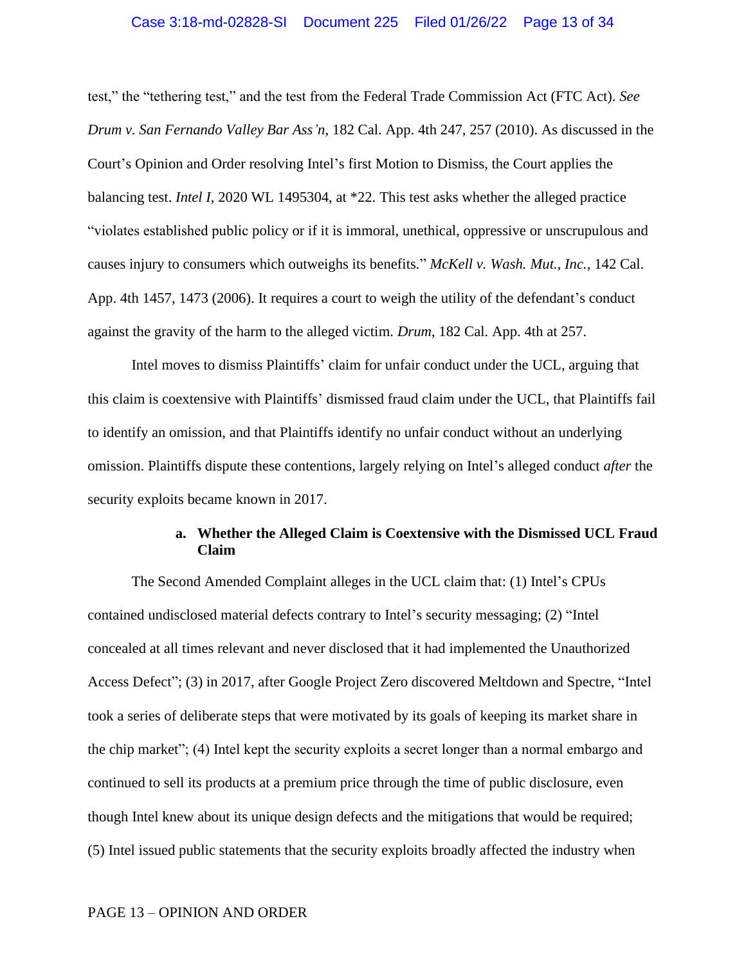### Case 3:18-md-02828-SI Document 225 Filed 01/26/22 Page 13 of 34

test," the "tethering test," and the test from the Federal Trade Commission Act (FTC Act). *See Drum v. San Fernando Valley Bar Ass'n*, 182 Cal. App. 4th 247, 257 (2010). As discussed in the Court's Opinion and Order resolving Intel's first Motion to Dismiss, the Court applies the balancing test. *Intel I*, 2020 WL 1495304, at \*22. This test asks whether the alleged practice "violates established public policy or if it is immoral, unethical, oppressive or unscrupulous and causes injury to consumers which outweighs its benefits*.*" *McKell v. Wash. Mut., Inc.*, 142 Cal. App. 4th 1457, 1473 (2006). It requires a court to weigh the utility of the defendant's conduct against the gravity of the harm to the alleged victim. *Drum*, 182 Cal. App. 4th at 257.

Intel moves to dismiss Plaintiffs' claim for unfair conduct under the UCL, arguing that this claim is coextensive with Plaintiffs' dismissed fraud claim under the UCL, that Plaintiffs fail to identify an omission, and that Plaintiffs identify no unfair conduct without an underlying omission. Plaintiffs dispute these contentions, largely relying on Intel's alleged conduct *after* the security exploits became known in 2017.

# **a. Whether the Alleged Claim is Coextensive with the Dismissed UCL Fraud Claim**

The Second Amended Complaint alleges in the UCL claim that: (1) Intel's CPUs contained undisclosed material defects contrary to Intel's security messaging; (2) "Intel concealed at all times relevant and never disclosed that it had implemented the Unauthorized Access Defect"; (3) in 2017, after Google Project Zero discovered Meltdown and Spectre, "Intel took a series of deliberate steps that were motivated by its goals of keeping its market share in the chip market"; (4) Intel kept the security exploits a secret longer than a normal embargo and continued to sell its products at a premium price through the time of public disclosure, even though Intel knew about its unique design defects and the mitigations that would be required; (5) Intel issued public statements that the security exploits broadly affected the industry when

### PAGE 13 – OPINION AND ORDER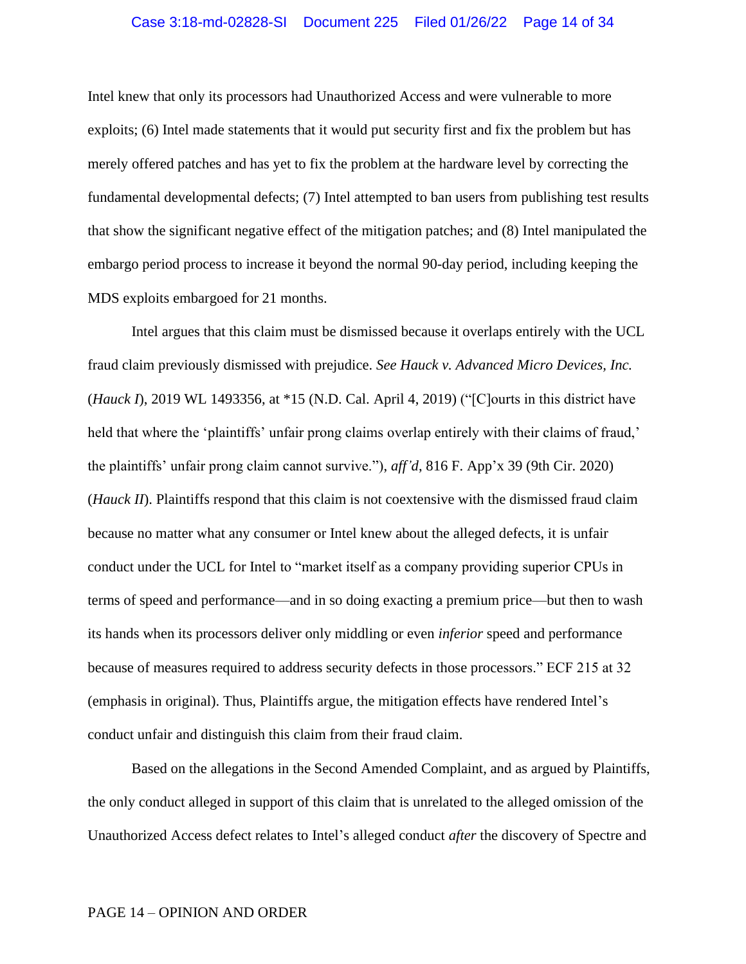#### Case 3:18-md-02828-SI Document 225 Filed 01/26/22 Page 14 of 34

Intel knew that only its processors had Unauthorized Access and were vulnerable to more exploits; (6) Intel made statements that it would put security first and fix the problem but has merely offered patches and has yet to fix the problem at the hardware level by correcting the fundamental developmental defects; (7) Intel attempted to ban users from publishing test results that show the significant negative effect of the mitigation patches; and (8) Intel manipulated the embargo period process to increase it beyond the normal 90-day period, including keeping the MDS exploits embargoed for 21 months.

Intel argues that this claim must be dismissed because it overlaps entirely with the UCL fraud claim previously dismissed with prejudice. *See Hauck v. Advanced Micro Devices, Inc.* (*Hauck I*), 2019 WL 1493356, at \*15 (N.D. Cal. April 4, 2019) ("[C]ourts in this district have held that where the 'plaintiffs' unfair prong claims overlap entirely with their claims of fraud,' the plaintiffs' unfair prong claim cannot survive."), *aff'd*, 816 F. App'x 39 (9th Cir. 2020) (*Hauck II*). Plaintiffs respond that this claim is not coextensive with the dismissed fraud claim because no matter what any consumer or Intel knew about the alleged defects, it is unfair conduct under the UCL for Intel to "market itself as a company providing superior CPUs in terms of speed and performance—and in so doing exacting a premium price—but then to wash its hands when its processors deliver only middling or even *inferior* speed and performance because of measures required to address security defects in those processors." ECF 215 at 32 (emphasis in original). Thus, Plaintiffs argue, the mitigation effects have rendered Intel's conduct unfair and distinguish this claim from their fraud claim.

Based on the allegations in the Second Amended Complaint, and as argued by Plaintiffs, the only conduct alleged in support of this claim that is unrelated to the alleged omission of the Unauthorized Access defect relates to Intel's alleged conduct *after* the discovery of Spectre and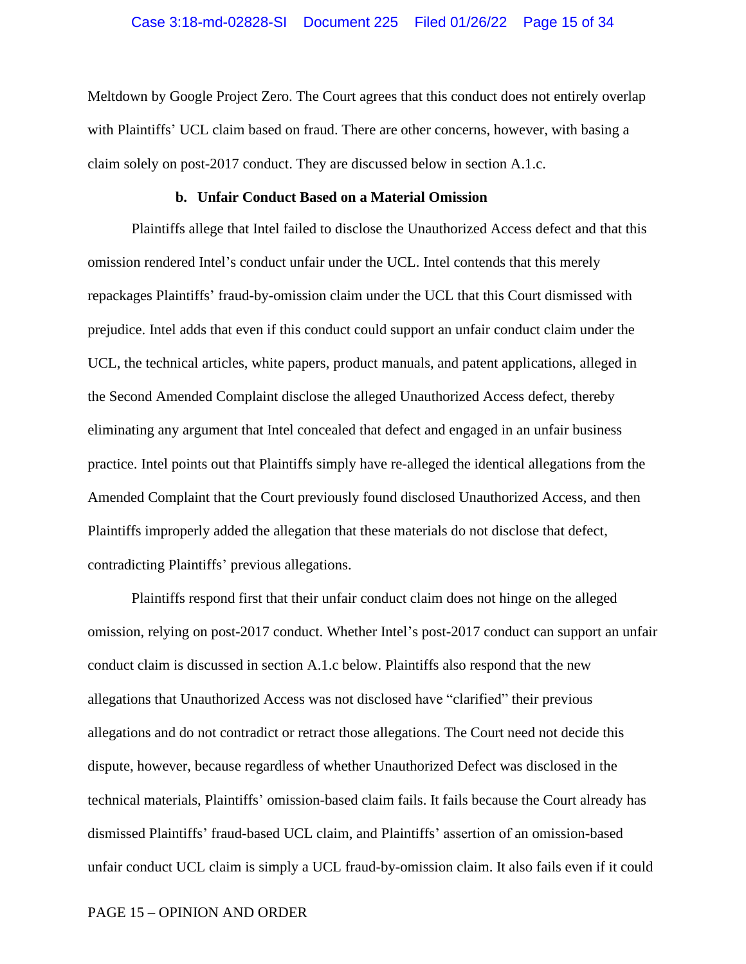Meltdown by Google Project Zero. The Court agrees that this conduct does not entirely overlap with Plaintiffs' UCL claim based on fraud. There are other concerns, however, with basing a claim solely on post-2017 conduct. They are discussed below in section A.1.c.

### **b. Unfair Conduct Based on a Material Omission**

Plaintiffs allege that Intel failed to disclose the Unauthorized Access defect and that this omission rendered Intel's conduct unfair under the UCL. Intel contends that this merely repackages Plaintiffs' fraud-by-omission claim under the UCL that this Court dismissed with prejudice. Intel adds that even if this conduct could support an unfair conduct claim under the UCL, the technical articles, white papers, product manuals, and patent applications, alleged in the Second Amended Complaint disclose the alleged Unauthorized Access defect, thereby eliminating any argument that Intel concealed that defect and engaged in an unfair business practice. Intel points out that Plaintiffs simply have re-alleged the identical allegations from the Amended Complaint that the Court previously found disclosed Unauthorized Access, and then Plaintiffs improperly added the allegation that these materials do not disclose that defect, contradicting Plaintiffs' previous allegations.

Plaintiffs respond first that their unfair conduct claim does not hinge on the alleged omission, relying on post-2017 conduct. Whether Intel's post-2017 conduct can support an unfair conduct claim is discussed in section A.1.c below. Plaintiffs also respond that the new allegations that Unauthorized Access was not disclosed have "clarified" their previous allegations and do not contradict or retract those allegations. The Court need not decide this dispute, however, because regardless of whether Unauthorized Defect was disclosed in the technical materials, Plaintiffs' omission-based claim fails. It fails because the Court already has dismissed Plaintiffs' fraud-based UCL claim, and Plaintiffs' assertion of an omission-based unfair conduct UCL claim is simply a UCL fraud-by-omission claim. It also fails even if it could

## PAGE 15 – OPINION AND ORDER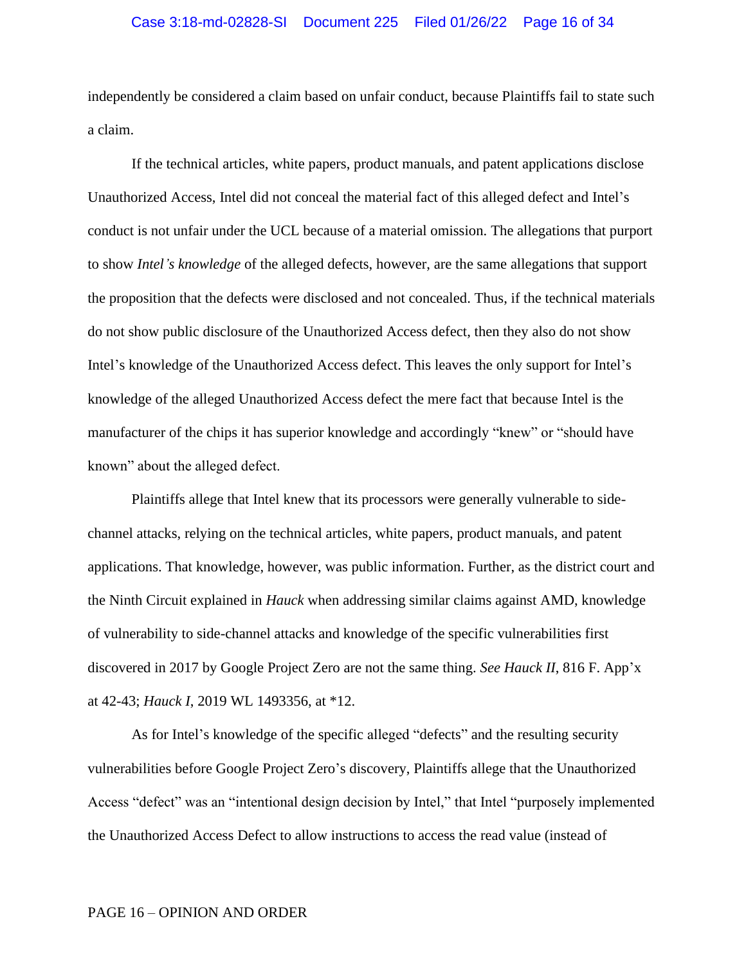independently be considered a claim based on unfair conduct, because Plaintiffs fail to state such a claim.

If the technical articles, white papers, product manuals, and patent applications disclose Unauthorized Access, Intel did not conceal the material fact of this alleged defect and Intel's conduct is not unfair under the UCL because of a material omission. The allegations that purport to show *Intel's knowledge* of the alleged defects, however, are the same allegations that support the proposition that the defects were disclosed and not concealed. Thus, if the technical materials do not show public disclosure of the Unauthorized Access defect, then they also do not show Intel's knowledge of the Unauthorized Access defect. This leaves the only support for Intel's knowledge of the alleged Unauthorized Access defect the mere fact that because Intel is the manufacturer of the chips it has superior knowledge and accordingly "knew" or "should have known" about the alleged defect.

Plaintiffs allege that Intel knew that its processors were generally vulnerable to sidechannel attacks, relying on the technical articles, white papers, product manuals, and patent applications. That knowledge, however, was public information. Further, as the district court and the Ninth Circuit explained in *Hauck* when addressing similar claims against AMD, knowledge of vulnerability to side-channel attacks and knowledge of the specific vulnerabilities first discovered in 2017 by Google Project Zero are not the same thing. *See Hauck II*, 816 F. App'x at 42-43; *Hauck I*, 2019 WL 1493356, at \*12.

As for Intel's knowledge of the specific alleged "defects" and the resulting security vulnerabilities before Google Project Zero's discovery, Plaintiffs allege that the Unauthorized Access "defect" was an "intentional design decision by Intel," that Intel "purposely implemented the Unauthorized Access Defect to allow instructions to access the read value (instead of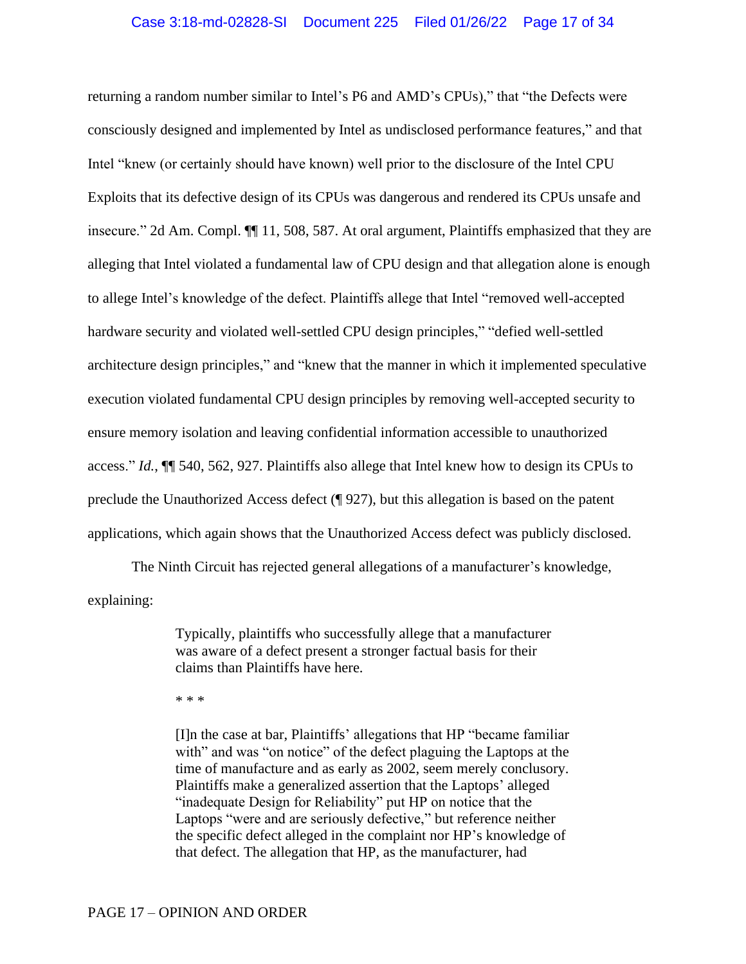returning a random number similar to Intel's P6 and AMD's CPUs)," that "the Defects were consciously designed and implemented by Intel as undisclosed performance features," and that Intel "knew (or certainly should have known) well prior to the disclosure of the Intel CPU Exploits that its defective design of its CPUs was dangerous and rendered its CPUs unsafe and insecure." 2d Am. Compl. ¶¶ 11, 508, 587. At oral argument, Plaintiffs emphasized that they are alleging that Intel violated a fundamental law of CPU design and that allegation alone is enough to allege Intel's knowledge of the defect. Plaintiffs allege that Intel "removed well-accepted hardware security and violated well-settled CPU design principles," "defied well-settled architecture design principles," and "knew that the manner in which it implemented speculative execution violated fundamental CPU design principles by removing well-accepted security to ensure memory isolation and leaving confidential information accessible to unauthorized access." *Id.*, ¶¶ 540, 562, 927. Plaintiffs also allege that Intel knew how to design its CPUs to preclude the Unauthorized Access defect (¶ 927), but this allegation is based on the patent applications, which again shows that the Unauthorized Access defect was publicly disclosed.

The Ninth Circuit has rejected general allegations of a manufacturer's knowledge, explaining:

> Typically, plaintiffs who successfully allege that a manufacturer was aware of a defect present a stronger factual basis for their claims than Plaintiffs have here.

\* \* \*

[I]n the case at bar, Plaintiffs' allegations that HP "became familiar with" and was "on notice" of the defect plaguing the Laptops at the time of manufacture and as early as 2002, seem merely conclusory. Plaintiffs make a generalized assertion that the Laptops' alleged "inadequate Design for Reliability" put HP on notice that the Laptops "were and are seriously defective," but reference neither the specific defect alleged in the complaint nor HP's knowledge of that defect. The allegation that HP, as the manufacturer, had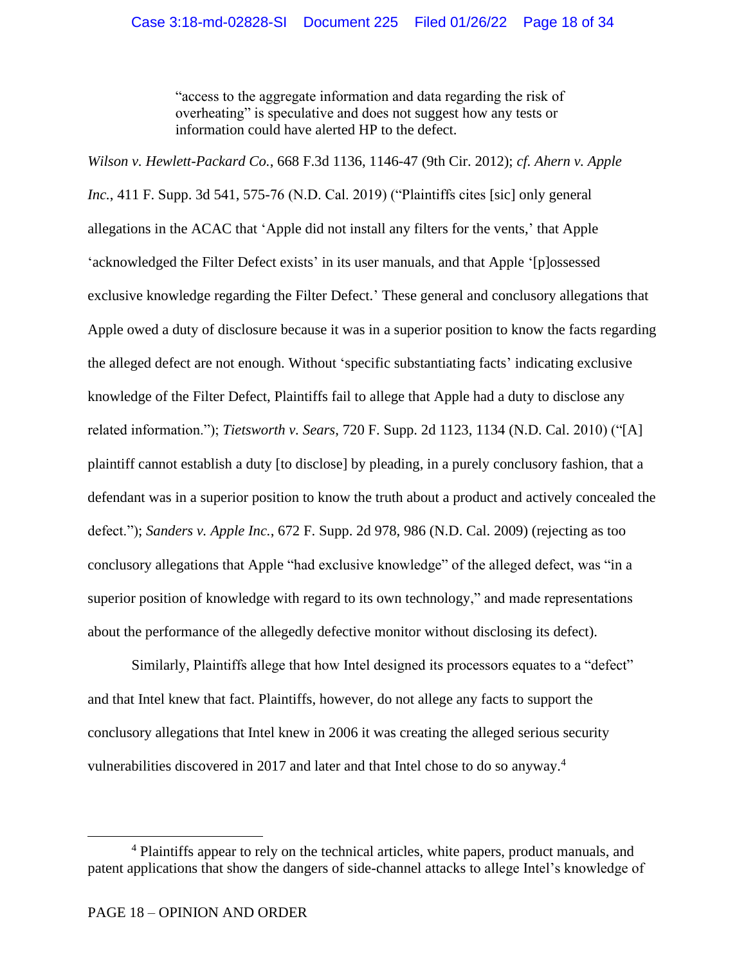"access to the aggregate information and data regarding the risk of overheating" is speculative and does not suggest how any tests or information could have alerted HP to the defect.

*Wilson v. Hewlett-Packard Co.*, 668 F.3d 1136, 1146-47 (9th Cir. 2012); *cf. Ahern v. Apple Inc.*, 411 F. Supp. 3d 541, 575-76 (N.D. Cal. 2019) ("Plaintiffs cites [sic] only general allegations in the ACAC that 'Apple did not install any filters for the vents,' that Apple 'acknowledged the Filter Defect exists' in its user manuals, and that Apple '[p]ossessed exclusive knowledge regarding the Filter Defect.' These general and conclusory allegations that Apple owed a duty of disclosure because it was in a superior position to know the facts regarding the alleged defect are not enough. Without 'specific substantiating facts' indicating exclusive knowledge of the Filter Defect, Plaintiffs fail to allege that Apple had a duty to disclose any related information."); *Tietsworth v. Sears*, 720 F. Supp. 2d 1123, 1134 (N.D. Cal. 2010) ("[A] plaintiff cannot establish a duty [to disclose] by pleading, in a purely conclusory fashion, that a defendant was in a superior position to know the truth about a product and actively concealed the defect."); *Sanders v. Apple Inc.*, 672 F. Supp. 2d 978, 986 (N.D. Cal. 2009) (rejecting as too conclusory allegations that Apple "had exclusive knowledge" of the alleged defect, was "in a superior position of knowledge with regard to its own technology," and made representations about the performance of the allegedly defective monitor without disclosing its defect).

Similarly, Plaintiffs allege that how Intel designed its processors equates to a "defect" and that Intel knew that fact. Plaintiffs, however, do not allege any facts to support the conclusory allegations that Intel knew in 2006 it was creating the alleged serious security vulnerabilities discovered in 2017 and later and that Intel chose to do so anyway.<sup>4</sup>

<sup>&</sup>lt;sup>4</sup> Plaintiffs appear to rely on the technical articles, white papers, product manuals, and patent applications that show the dangers of side-channel attacks to allege Intel's knowledge of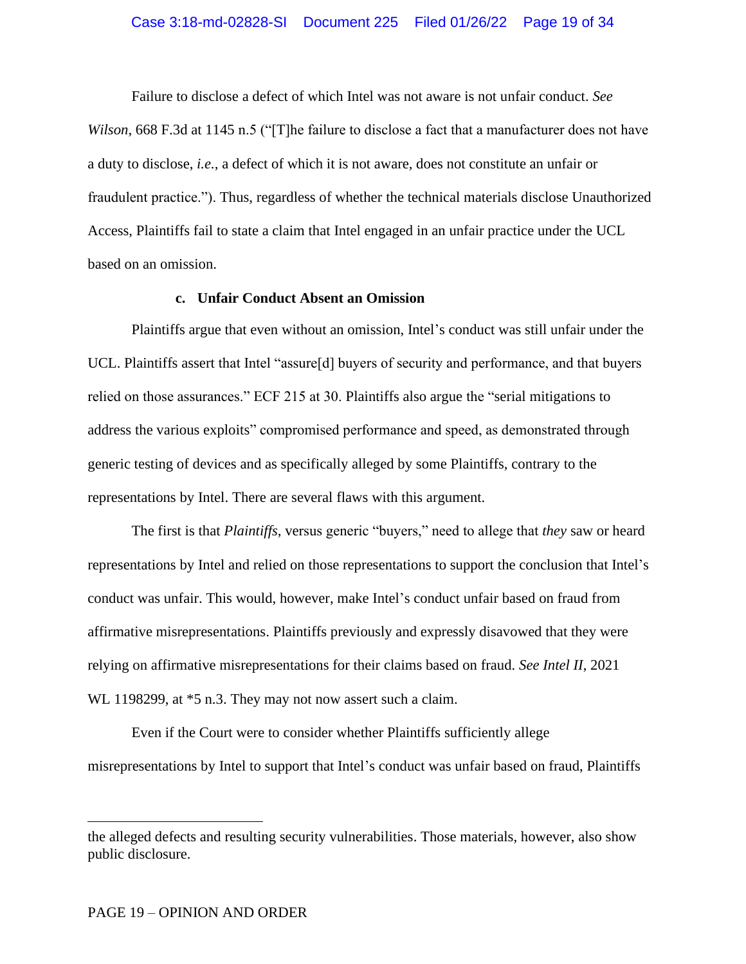Failure to disclose a defect of which Intel was not aware is not unfair conduct. *See Wilson*, 668 F.3d at 1145 n.5 ("The failure to disclose a fact that a manufacturer does not have a duty to disclose, *i.e.*, a defect of which it is not aware, does not constitute an unfair or fraudulent practice."). Thus, regardless of whether the technical materials disclose Unauthorized Access, Plaintiffs fail to state a claim that Intel engaged in an unfair practice under the UCL based on an omission.

## **c. Unfair Conduct Absent an Omission**

Plaintiffs argue that even without an omission, Intel's conduct was still unfair under the UCL. Plaintiffs assert that Intel "assure[d] buyers of security and performance, and that buyers relied on those assurances." ECF 215 at 30. Plaintiffs also argue the "serial mitigations to address the various exploits" compromised performance and speed, as demonstrated through generic testing of devices and as specifically alleged by some Plaintiffs, contrary to the representations by Intel. There are several flaws with this argument.

The first is that *Plaintiffs*, versus generic "buyers," need to allege that *they* saw or heard representations by Intel and relied on those representations to support the conclusion that Intel's conduct was unfair. This would, however, make Intel's conduct unfair based on fraud from affirmative misrepresentations. Plaintiffs previously and expressly disavowed that they were relying on affirmative misrepresentations for their claims based on fraud. *See Intel II*, 2021 WL 1198299, at  $*5$  n.3. They may not now assert such a claim.

Even if the Court were to consider whether Plaintiffs sufficiently allege misrepresentations by Intel to support that Intel's conduct was unfair based on fraud, Plaintiffs

the alleged defects and resulting security vulnerabilities. Those materials, however, also show public disclosure.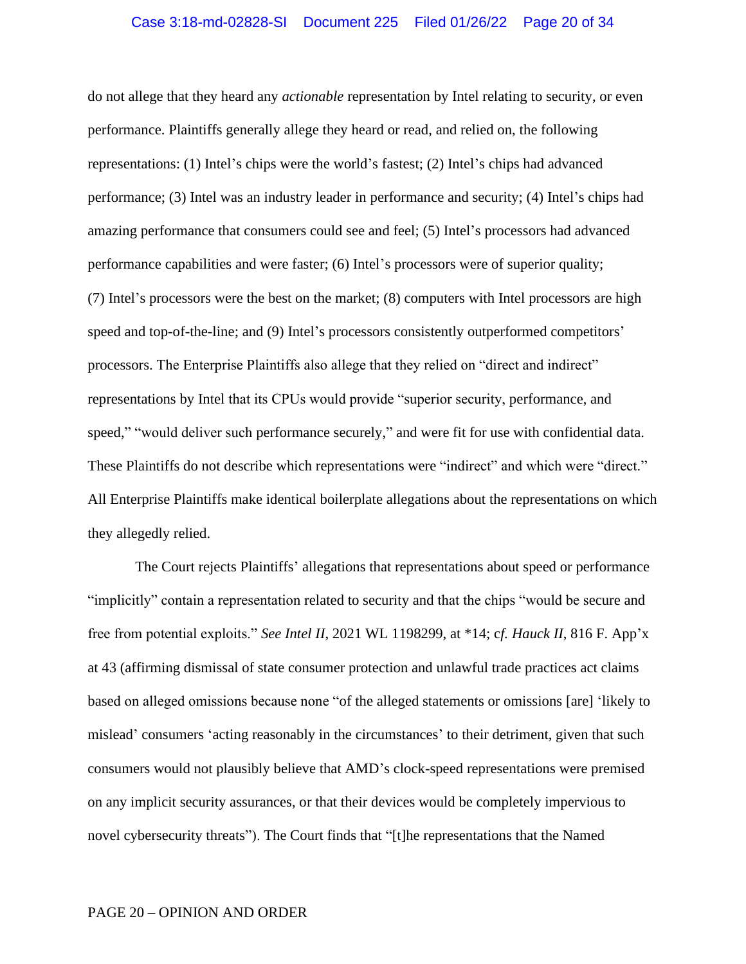do not allege that they heard any *actionable* representation by Intel relating to security, or even performance. Plaintiffs generally allege they heard or read, and relied on, the following representations: (1) Intel's chips were the world's fastest; (2) Intel's chips had advanced performance; (3) Intel was an industry leader in performance and security; (4) Intel's chips had amazing performance that consumers could see and feel; (5) Intel's processors had advanced performance capabilities and were faster; (6) Intel's processors were of superior quality; (7) Intel's processors were the best on the market; (8) computers with Intel processors are high speed and top-of-the-line; and (9) Intel's processors consistently outperformed competitors' processors. The Enterprise Plaintiffs also allege that they relied on "direct and indirect" representations by Intel that its CPUs would provide "superior security, performance, and speed," "would deliver such performance securely," and were fit for use with confidential data. These Plaintiffs do not describe which representations were "indirect" and which were "direct." All Enterprise Plaintiffs make identical boilerplate allegations about the representations on which they allegedly relied.

The Court rejects Plaintiffs' allegations that representations about speed or performance "implicitly" contain a representation related to security and that the chips "would be secure and free from potential exploits." *See Intel II*, 2021 WL 1198299, at \*14; c*f. Hauck II*, 816 F. App'x at 43 (affirming dismissal of state consumer protection and unlawful trade practices act claims based on alleged omissions because none "of the alleged statements or omissions [are] 'likely to mislead' consumers 'acting reasonably in the circumstances' to their detriment, given that such consumers would not plausibly believe that AMD's clock-speed representations were premised on any implicit security assurances, or that their devices would be completely impervious to novel cybersecurity threats"). The Court finds that "[t]he representations that the Named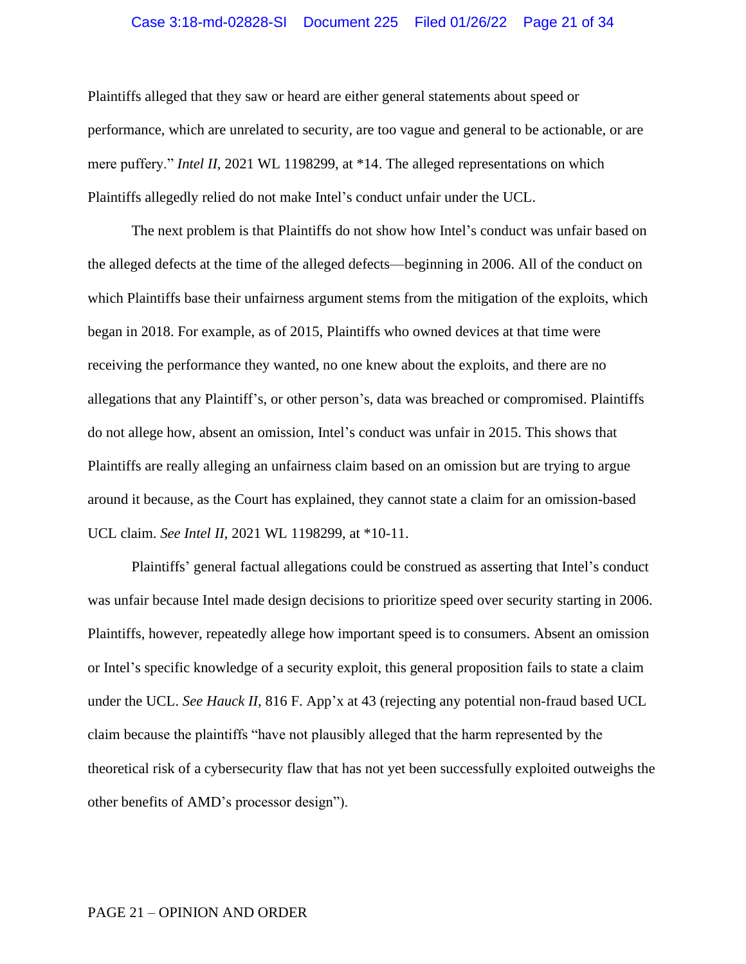#### Case 3:18-md-02828-SI Document 225 Filed 01/26/22 Page 21 of 34

Plaintiffs alleged that they saw or heard are either general statements about speed or performance, which are unrelated to security, are too vague and general to be actionable, or are mere puffery." *Intel II*, 2021 WL 1198299, at \*14. The alleged representations on which Plaintiffs allegedly relied do not make Intel's conduct unfair under the UCL.

The next problem is that Plaintiffs do not show how Intel's conduct was unfair based on the alleged defects at the time of the alleged defects—beginning in 2006. All of the conduct on which Plaintiffs base their unfairness argument stems from the mitigation of the exploits, which began in 2018. For example, as of 2015, Plaintiffs who owned devices at that time were receiving the performance they wanted, no one knew about the exploits, and there are no allegations that any Plaintiff's, or other person's, data was breached or compromised. Plaintiffs do not allege how, absent an omission, Intel's conduct was unfair in 2015. This shows that Plaintiffs are really alleging an unfairness claim based on an omission but are trying to argue around it because, as the Court has explained, they cannot state a claim for an omission-based UCL claim. *See Intel II*, 2021 WL 1198299, at \*10-11.

Plaintiffs' general factual allegations could be construed as asserting that Intel's conduct was unfair because Intel made design decisions to prioritize speed over security starting in 2006. Plaintiffs, however, repeatedly allege how important speed is to consumers. Absent an omission or Intel's specific knowledge of a security exploit, this general proposition fails to state a claim under the UCL. *See Hauck II*, 816 F. App'x at 43 (rejecting any potential non-fraud based UCL claim because the plaintiffs "have not plausibly alleged that the harm represented by the theoretical risk of a cybersecurity flaw that has not yet been successfully exploited outweighs the other benefits of AMD's processor design").

### PAGE 21 – OPINION AND ORDER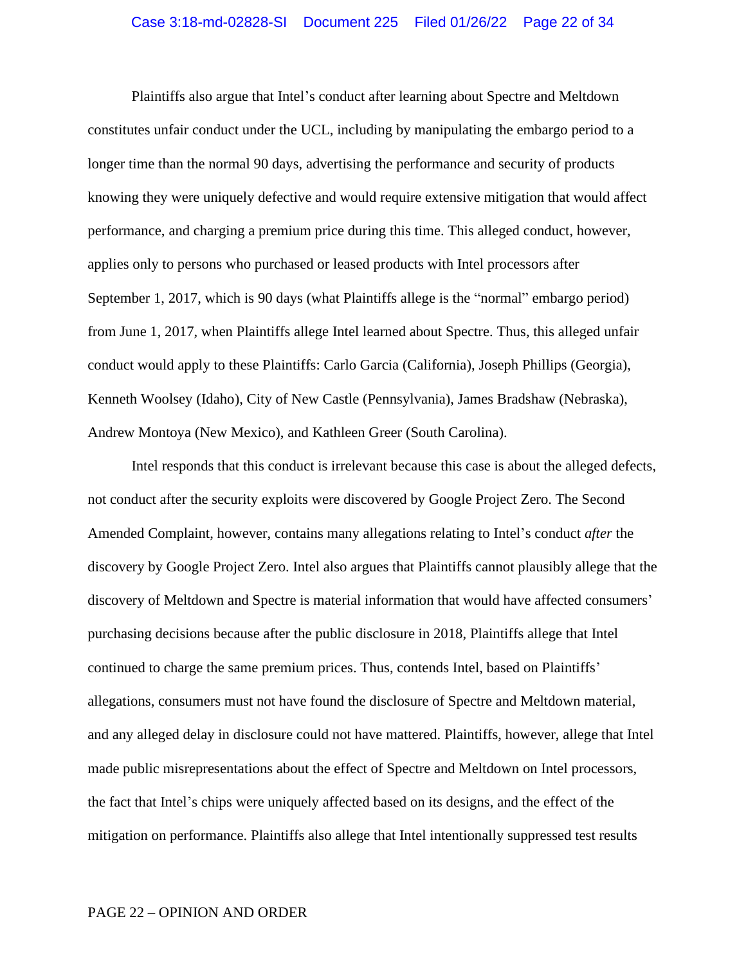Plaintiffs also argue that Intel's conduct after learning about Spectre and Meltdown constitutes unfair conduct under the UCL, including by manipulating the embargo period to a longer time than the normal 90 days, advertising the performance and security of products knowing they were uniquely defective and would require extensive mitigation that would affect performance, and charging a premium price during this time. This alleged conduct, however, applies only to persons who purchased or leased products with Intel processors after September 1, 2017, which is 90 days (what Plaintiffs allege is the "normal" embargo period) from June 1, 2017, when Plaintiffs allege Intel learned about Spectre. Thus, this alleged unfair conduct would apply to these Plaintiffs: Carlo Garcia (California), Joseph Phillips (Georgia), Kenneth Woolsey (Idaho), City of New Castle (Pennsylvania), James Bradshaw (Nebraska), Andrew Montoya (New Mexico), and Kathleen Greer (South Carolina).

Intel responds that this conduct is irrelevant because this case is about the alleged defects, not conduct after the security exploits were discovered by Google Project Zero. The Second Amended Complaint, however, contains many allegations relating to Intel's conduct *after* the discovery by Google Project Zero. Intel also argues that Plaintiffs cannot plausibly allege that the discovery of Meltdown and Spectre is material information that would have affected consumers' purchasing decisions because after the public disclosure in 2018, Plaintiffs allege that Intel continued to charge the same premium prices. Thus, contends Intel, based on Plaintiffs' allegations, consumers must not have found the disclosure of Spectre and Meltdown material, and any alleged delay in disclosure could not have mattered. Plaintiffs, however, allege that Intel made public misrepresentations about the effect of Spectre and Meltdown on Intel processors, the fact that Intel's chips were uniquely affected based on its designs, and the effect of the mitigation on performance. Plaintiffs also allege that Intel intentionally suppressed test results

### PAGE 22 – OPINION AND ORDER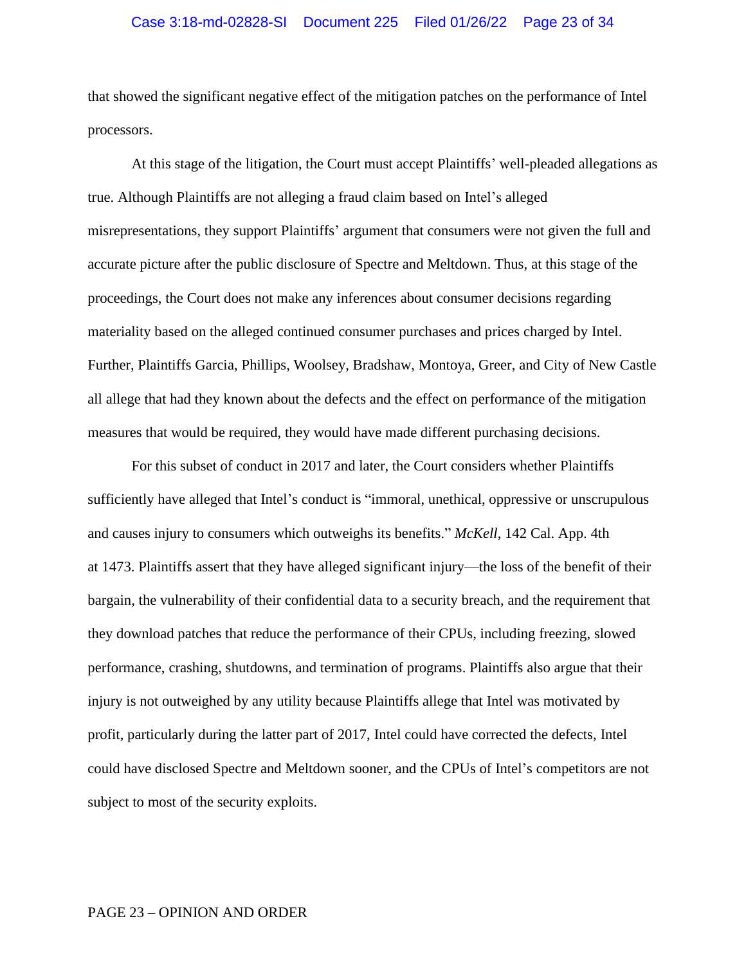that showed the significant negative effect of the mitigation patches on the performance of Intel processors.

At this stage of the litigation, the Court must accept Plaintiffs' well-pleaded allegations as true. Although Plaintiffs are not alleging a fraud claim based on Intel's alleged misrepresentations, they support Plaintiffs' argument that consumers were not given the full and accurate picture after the public disclosure of Spectre and Meltdown. Thus, at this stage of the proceedings, the Court does not make any inferences about consumer decisions regarding materiality based on the alleged continued consumer purchases and prices charged by Intel. Further, Plaintiffs Garcia, Phillips, Woolsey, Bradshaw, Montoya, Greer, and City of New Castle all allege that had they known about the defects and the effect on performance of the mitigation measures that would be required, they would have made different purchasing decisions.

For this subset of conduct in 2017 and later, the Court considers whether Plaintiffs sufficiently have alleged that Intel's conduct is "immoral, unethical, oppressive or unscrupulous and causes injury to consumers which outweighs its benefits." *McKell*, 142 Cal. App. 4th at 1473. Plaintiffs assert that they have alleged significant injury—the loss of the benefit of their bargain, the vulnerability of their confidential data to a security breach, and the requirement that they download patches that reduce the performance of their CPUs, including freezing, slowed performance, crashing, shutdowns, and termination of programs. Plaintiffs also argue that their injury is not outweighed by any utility because Plaintiffs allege that Intel was motivated by profit, particularly during the latter part of 2017, Intel could have corrected the defects, Intel could have disclosed Spectre and Meltdown sooner, and the CPUs of Intel's competitors are not subject to most of the security exploits.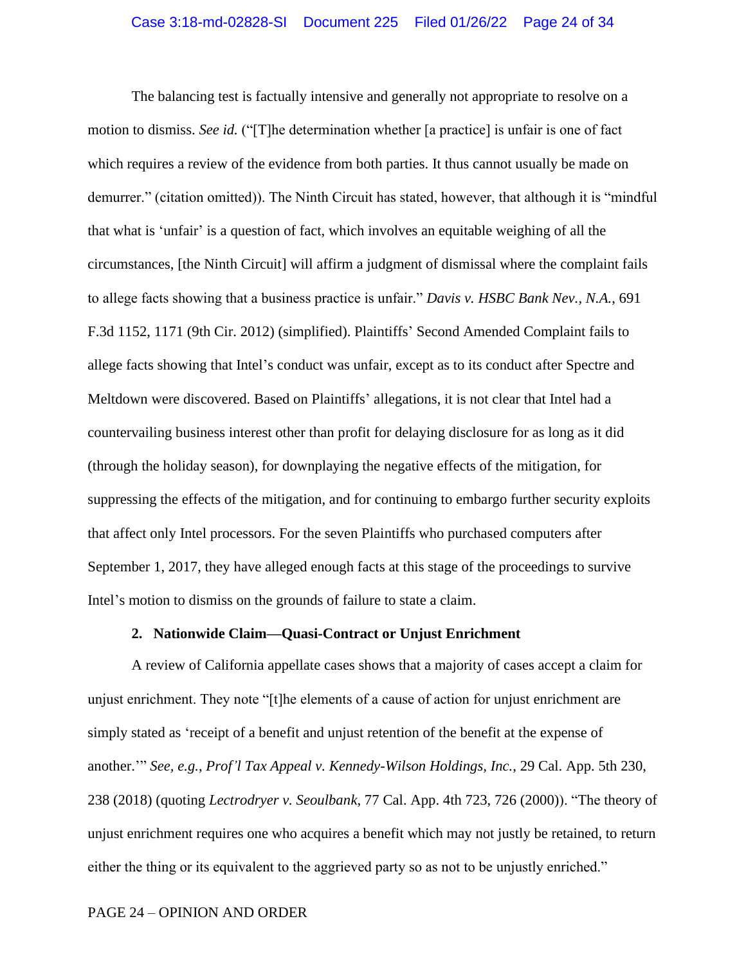The balancing test is factually intensive and generally not appropriate to resolve on a motion to dismiss. *See id.* ("[T]he determination whether [a practice] is unfair is one of fact which requires a review of the evidence from both parties. It thus cannot usually be made on demurrer." (citation omitted)). The Ninth Circuit has stated, however, that although it is "mindful that what is 'unfair' is a question of fact, which involves an equitable weighing of all the circumstances, [the Ninth Circuit] will affirm a judgment of dismissal where the complaint fails to allege facts showing that a business practice is unfair." *Davis v. HSBC Bank Nev., N.A.*, 691 F.3d 1152, 1171 (9th Cir. 2012) (simplified). Plaintiffs' Second Amended Complaint fails to allege facts showing that Intel's conduct was unfair, except as to its conduct after Spectre and Meltdown were discovered. Based on Plaintiffs' allegations, it is not clear that Intel had a countervailing business interest other than profit for delaying disclosure for as long as it did (through the holiday season), for downplaying the negative effects of the mitigation, for suppressing the effects of the mitigation, and for continuing to embargo further security exploits that affect only Intel processors. For the seven Plaintiffs who purchased computers after September 1, 2017, they have alleged enough facts at this stage of the proceedings to survive Intel's motion to dismiss on the grounds of failure to state a claim.

## **2. Nationwide Claim—Quasi-Contract or Unjust Enrichment**

A review of California appellate cases shows that a majority of cases accept a claim for unjust enrichment. They note "[t]he elements of a cause of action for unjust enrichment are simply stated as 'receipt of a benefit and unjust retention of the benefit at the expense of another.'" *See, e.g.*, *Prof'l Tax Appeal v. Kennedy-Wilson Holdings, Inc.*, 29 Cal. App. 5th 230, 238 (2018) (quoting *Lectrodryer v. Seoulbank*, 77 Cal. App. 4th 723, 726 (2000)). "The theory of unjust enrichment requires one who acquires a benefit which may not justly be retained, to return either the thing or its equivalent to the aggrieved party so as not to be unjustly enriched."

## PAGE 24 – OPINION AND ORDER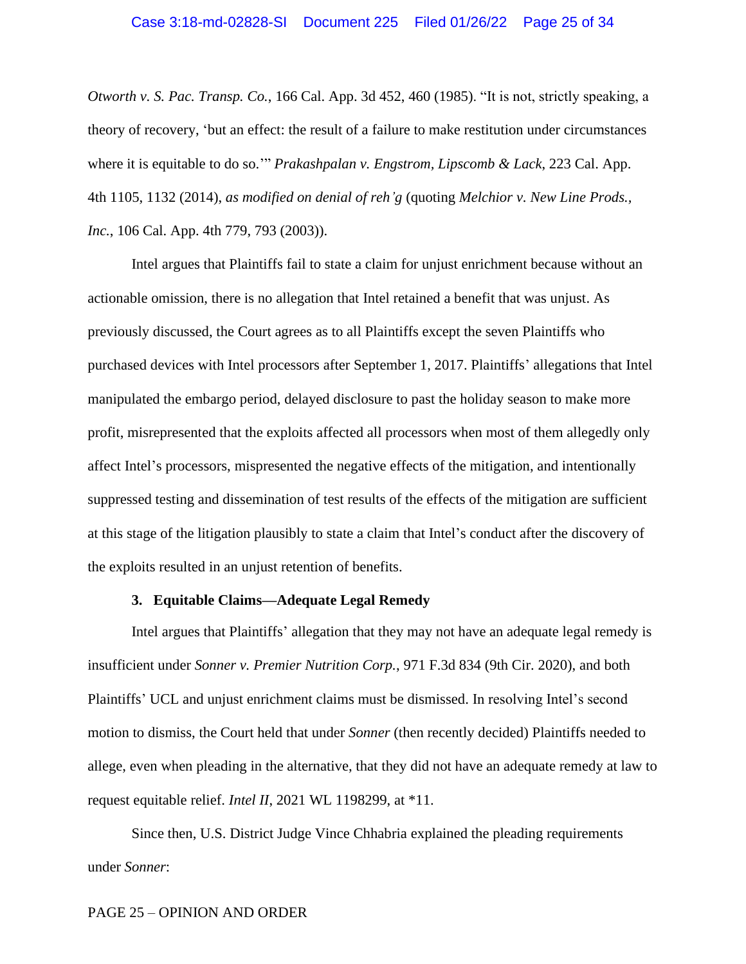*Otworth v. S. Pac. Transp. Co.*, 166 Cal. App. 3d 452, 460 (1985). "It is not, strictly speaking, a theory of recovery, 'but an effect: the result of a failure to make restitution under circumstances where it is equitable to do so.'" *Prakashpalan v. Engstrom, Lipscomb & Lack*, 223 Cal. App. 4th 1105, 1132 (2014), *as modified on denial of reh'g* (quoting *Melchior v. New Line Prods., Inc.*, 106 Cal. App. 4th 779, 793 (2003)).

Intel argues that Plaintiffs fail to state a claim for unjust enrichment because without an actionable omission, there is no allegation that Intel retained a benefit that was unjust. As previously discussed, the Court agrees as to all Plaintiffs except the seven Plaintiffs who purchased devices with Intel processors after September 1, 2017. Plaintiffs' allegations that Intel manipulated the embargo period, delayed disclosure to past the holiday season to make more profit, misrepresented that the exploits affected all processors when most of them allegedly only affect Intel's processors, mispresented the negative effects of the mitigation, and intentionally suppressed testing and dissemination of test results of the effects of the mitigation are sufficient at this stage of the litigation plausibly to state a claim that Intel's conduct after the discovery of the exploits resulted in an unjust retention of benefits.

## **3. Equitable Claims—Adequate Legal Remedy**

Intel argues that Plaintiffs' allegation that they may not have an adequate legal remedy is insufficient under *Sonner v. Premier Nutrition Corp.*, 971 F.3d 834 (9th Cir. 2020), and both Plaintiffs' UCL and unjust enrichment claims must be dismissed. In resolving Intel's second motion to dismiss, the Court held that under *Sonner* (then recently decided) Plaintiffs needed to allege, even when pleading in the alternative, that they did not have an adequate remedy at law to request equitable relief. *Intel II*, 2021 WL 1198299, at \*11.

Since then, U.S. District Judge Vince Chhabria explained the pleading requirements under *Sonner*:

### PAGE 25 – OPINION AND ORDER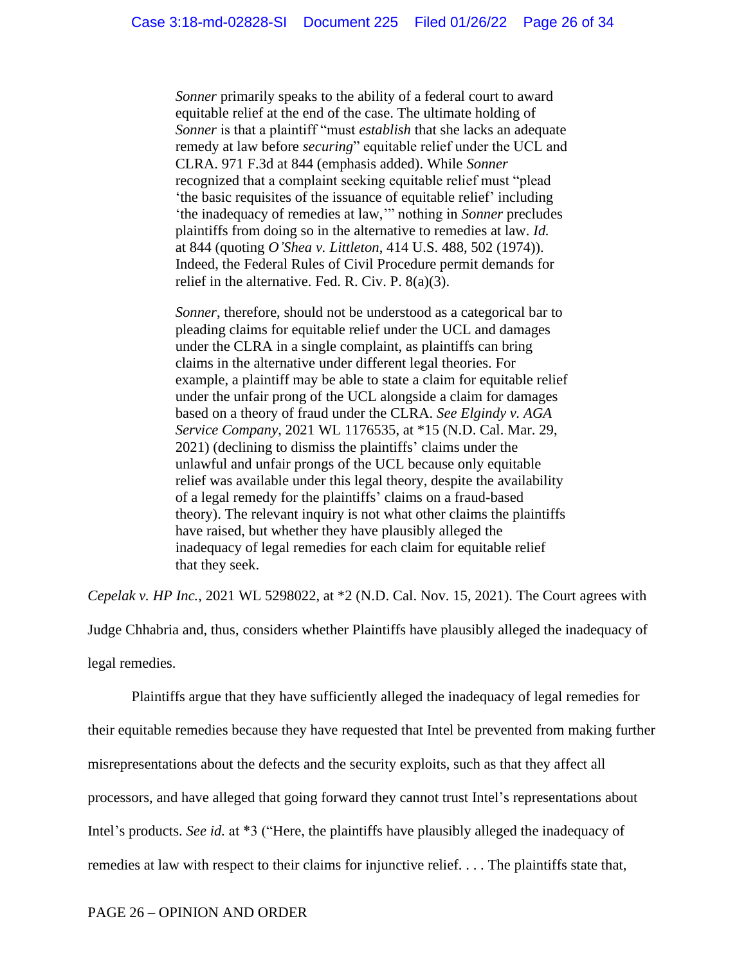*Sonner* primarily speaks to the ability of a federal court to award equitable relief at the end of the case. The ultimate holding of *Sonner* is that a plaintiff "must *establish* that she lacks an adequate remedy at law before *securing*" equitable relief under the UCL and CLRA. 971 F.3d at 844 (emphasis added). While *Sonner* recognized that a complaint seeking equitable relief must "plead 'the basic requisites of the issuance of equitable relief' including 'the inadequacy of remedies at law,'" nothing in *Sonner* precludes plaintiffs from doing so in the alternative to remedies at law. *Id.* at 844 (quoting *O'Shea v. Littleton*, 414 U.S. 488, 502 (1974)). Indeed, the Federal Rules of Civil Procedure permit demands for relief in the alternative. Fed. R. Civ. P. 8(a)(3).

*Sonner*, therefore, should not be understood as a categorical bar to pleading claims for equitable relief under the UCL and damages under the CLRA in a single complaint, as plaintiffs can bring claims in the alternative under different legal theories. For example, a plaintiff may be able to state a claim for equitable relief under the unfair prong of the UCL alongside a claim for damages based on a theory of fraud under the CLRA. *See Elgindy v. AGA Service Company*, 2021 WL 1176535, at \*15 (N.D. Cal. Mar. 29, 2021) (declining to dismiss the plaintiffs' claims under the unlawful and unfair prongs of the UCL because only equitable relief was available under this legal theory, despite the availability of a legal remedy for the plaintiffs' claims on a fraud-based theory). The relevant inquiry is not what other claims the plaintiffs have raised, but whether they have plausibly alleged the inadequacy of legal remedies for each claim for equitable relief that they seek.

*Cepelak v. HP Inc.*, 2021 WL 5298022, at \*2 (N.D. Cal. Nov. 15, 2021). The Court agrees with

Judge Chhabria and, thus, considers whether Plaintiffs have plausibly alleged the inadequacy of legal remedies.

Plaintiffs argue that they have sufficiently alleged the inadequacy of legal remedies for their equitable remedies because they have requested that Intel be prevented from making further misrepresentations about the defects and the security exploits, such as that they affect all processors, and have alleged that going forward they cannot trust Intel's representations about Intel's products. *See id.* at \*3 ("Here, the plaintiffs have plausibly alleged the inadequacy of remedies at law with respect to their claims for injunctive relief. . . . The plaintiffs state that,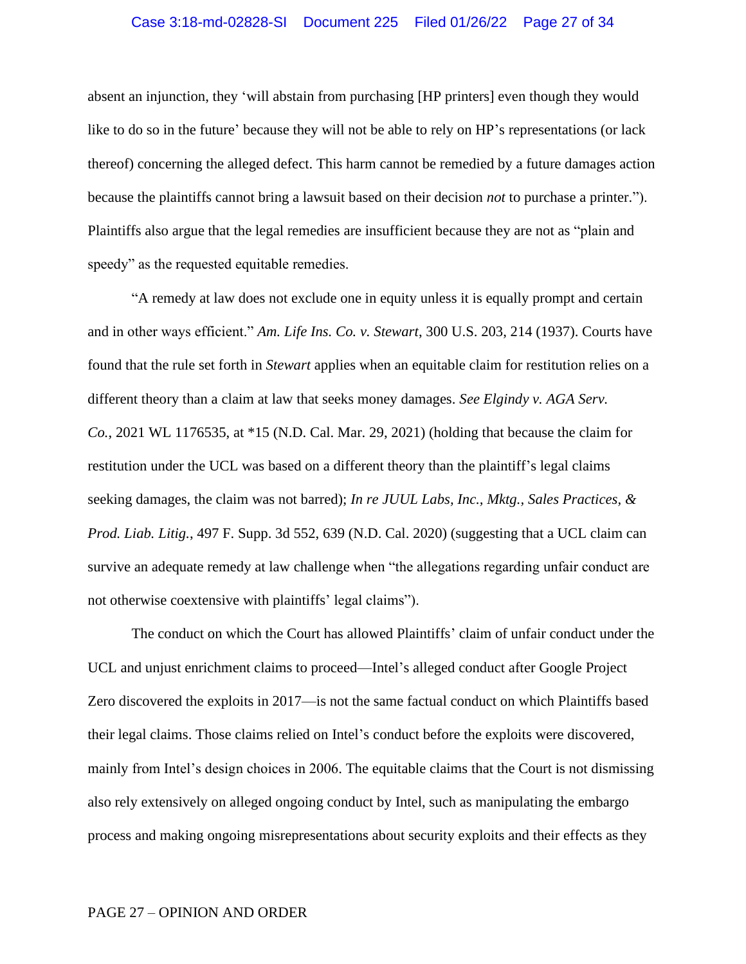## Case 3:18-md-02828-SI Document 225 Filed 01/26/22 Page 27 of 34

absent an injunction, they 'will abstain from purchasing [HP printers] even though they would like to do so in the future' because they will not be able to rely on HP's representations (or lack thereof) concerning the alleged defect. This harm cannot be remedied by a future damages action because the plaintiffs cannot bring a lawsuit based on their decision *not* to purchase a printer."). Plaintiffs also argue that the legal remedies are insufficient because they are not as "plain and speedy" as the requested equitable remedies.

"A remedy at law does not exclude one in equity unless it is equally prompt and certain and in other ways efficient." *Am. Life Ins. Co. v. Stewart*, 300 U.S. 203, 214 (1937). Courts have found that the rule set forth in *Stewart* applies when an equitable claim for restitution relies on a different theory than a claim at law that seeks money damages. *See Elgindy v. AGA Serv. Co.*, 2021 WL 1176535, at \*15 (N.D. Cal. Mar. 29, 2021) (holding that because the claim for restitution under the UCL was based on a different theory than the plaintiff's legal claims seeking damages, the claim was not barred); *In re JUUL Labs, Inc., Mktg., Sales Practices, & Prod. Liab. Litig.*, 497 F. Supp. 3d 552, 639 (N.D. Cal. 2020) (suggesting that a UCL claim can survive an adequate remedy at law challenge when "the allegations regarding unfair conduct are not otherwise coextensive with plaintiffs' legal claims").

The conduct on which the Court has allowed Plaintiffs' claim of unfair conduct under the UCL and unjust enrichment claims to proceed—Intel's alleged conduct after Google Project Zero discovered the exploits in 2017—is not the same factual conduct on which Plaintiffs based their legal claims. Those claims relied on Intel's conduct before the exploits were discovered, mainly from Intel's design choices in 2006. The equitable claims that the Court is not dismissing also rely extensively on alleged ongoing conduct by Intel, such as manipulating the embargo process and making ongoing misrepresentations about security exploits and their effects as they

### PAGE 27 – OPINION AND ORDER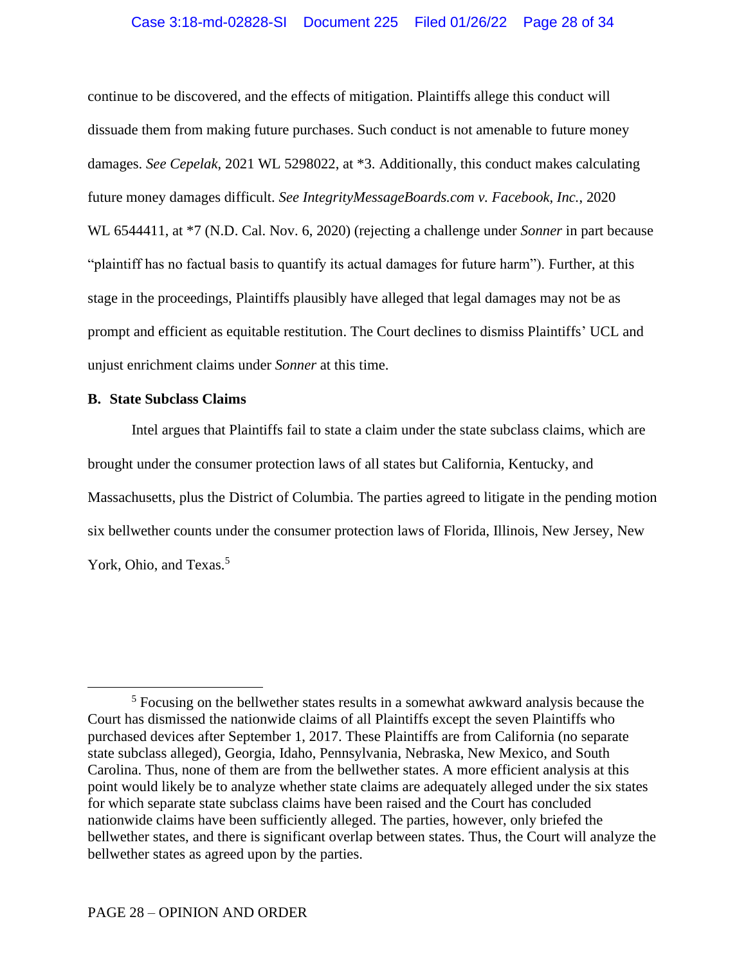# Case 3:18-md-02828-SI Document 225 Filed 01/26/22 Page 28 of 34

continue to be discovered, and the effects of mitigation. Plaintiffs allege this conduct will dissuade them from making future purchases. Such conduct is not amenable to future money damages. *See Cepelak*, 2021 WL 5298022, at \*3. Additionally, this conduct makes calculating future money damages difficult. *See IntegrityMessageBoards.com v. Facebook, Inc.*, 2020 WL 6544411, at \*7 (N.D. Cal. Nov. 6, 2020) (rejecting a challenge under *Sonner* in part because "plaintiff has no factual basis to quantify its actual damages for future harm"). Further, at this stage in the proceedings, Plaintiffs plausibly have alleged that legal damages may not be as prompt and efficient as equitable restitution. The Court declines to dismiss Plaintiffs' UCL and unjust enrichment claims under *Sonner* at this time.

## **B. State Subclass Claims**

Intel argues that Plaintiffs fail to state a claim under the state subclass claims, which are brought under the consumer protection laws of all states but California, Kentucky, and Massachusetts, plus the District of Columbia. The parties agreed to litigate in the pending motion six bellwether counts under the consumer protection laws of Florida, Illinois, New Jersey, New York, Ohio, and Texas.<sup>5</sup>

<sup>&</sup>lt;sup>5</sup> Focusing on the bellwether states results in a somewhat awkward analysis because the Court has dismissed the nationwide claims of all Plaintiffs except the seven Plaintiffs who purchased devices after September 1, 2017. These Plaintiffs are from California (no separate state subclass alleged), Georgia, Idaho, Pennsylvania, Nebraska, New Mexico, and South Carolina. Thus, none of them are from the bellwether states. A more efficient analysis at this point would likely be to analyze whether state claims are adequately alleged under the six states for which separate state subclass claims have been raised and the Court has concluded nationwide claims have been sufficiently alleged. The parties, however, only briefed the bellwether states, and there is significant overlap between states. Thus, the Court will analyze the bellwether states as agreed upon by the parties.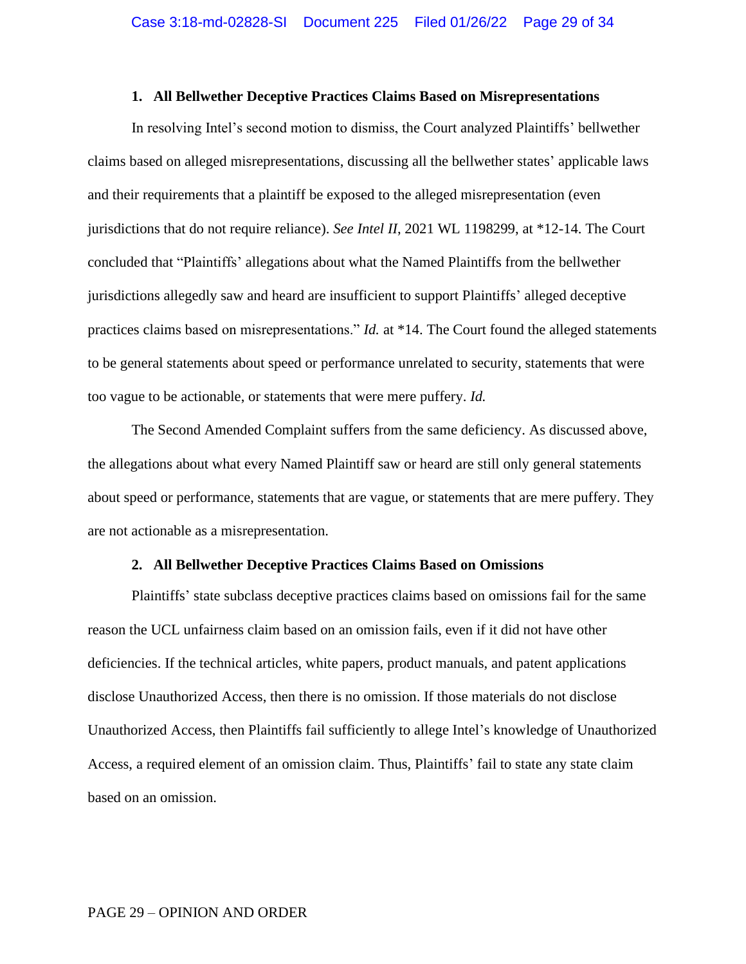### **1. All Bellwether Deceptive Practices Claims Based on Misrepresentations**

In resolving Intel's second motion to dismiss, the Court analyzed Plaintiffs' bellwether claims based on alleged misrepresentations, discussing all the bellwether states' applicable laws and their requirements that a plaintiff be exposed to the alleged misrepresentation (even jurisdictions that do not require reliance). *See Intel II*, 2021 WL 1198299, at \*12-14. The Court concluded that "Plaintiffs' allegations about what the Named Plaintiffs from the bellwether jurisdictions allegedly saw and heard are insufficient to support Plaintiffs' alleged deceptive practices claims based on misrepresentations." *Id.* at \*14. The Court found the alleged statements to be general statements about speed or performance unrelated to security, statements that were too vague to be actionable, or statements that were mere puffery. *Id.*

The Second Amended Complaint suffers from the same deficiency. As discussed above, the allegations about what every Named Plaintiff saw or heard are still only general statements about speed or performance, statements that are vague, or statements that are mere puffery. They are not actionable as a misrepresentation.

# **2. All Bellwether Deceptive Practices Claims Based on Omissions**

Plaintiffs' state subclass deceptive practices claims based on omissions fail for the same reason the UCL unfairness claim based on an omission fails, even if it did not have other deficiencies. If the technical articles, white papers, product manuals, and patent applications disclose Unauthorized Access, then there is no omission. If those materials do not disclose Unauthorized Access, then Plaintiffs fail sufficiently to allege Intel's knowledge of Unauthorized Access, a required element of an omission claim. Thus, Plaintiffs' fail to state any state claim based on an omission.

### PAGE 29 – OPINION AND ORDER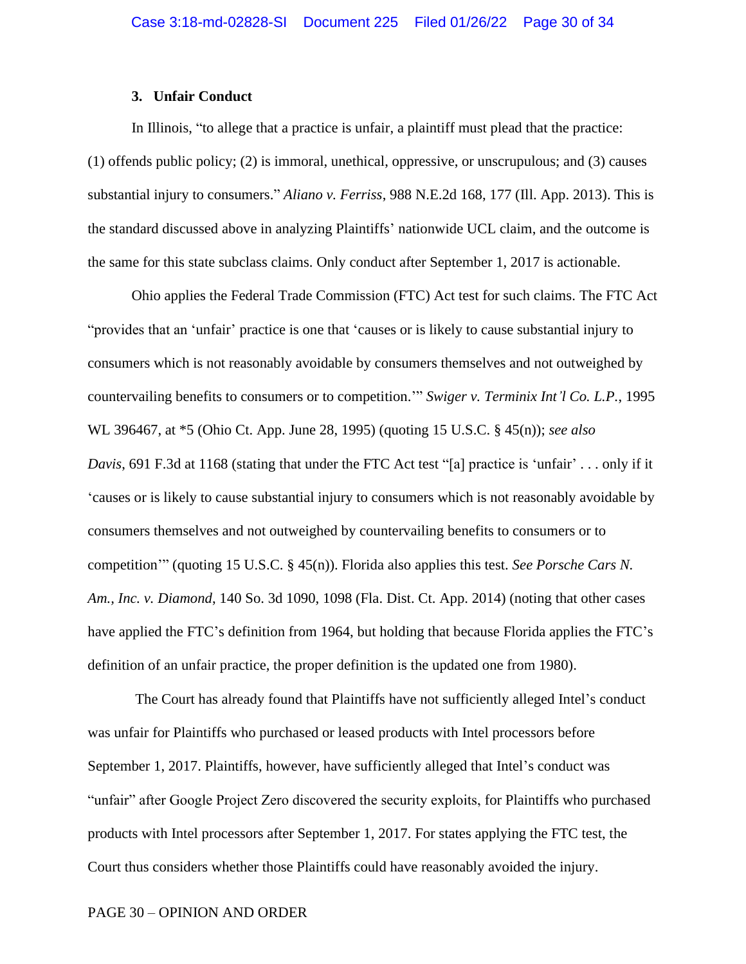## **3. Unfair Conduct**

In Illinois, "to allege that a practice is unfair, a plaintiff must plead that the practice: (1) offends public policy; (2) is immoral, unethical, oppressive, or unscrupulous; and (3) causes substantial injury to consumers." *Aliano v. Ferriss*, 988 N.E.2d 168, 177 (Ill. App. 2013). This is the standard discussed above in analyzing Plaintiffs' nationwide UCL claim, and the outcome is the same for this state subclass claims. Only conduct after September 1, 2017 is actionable.

Ohio applies the Federal Trade Commission (FTC) Act test for such claims. The FTC Act "provides that an 'unfair' practice is one that 'causes or is likely to cause substantial injury to consumers which is not reasonably avoidable by consumers themselves and not outweighed by countervailing benefits to consumers or to competition.'" *Swiger v. Terminix Int'l Co. L.P.*, 1995 WL 396467, at \*5 (Ohio Ct. App. June 28, 1995) (quoting 15 U.S.C. § 45(n)); *see also Davis*, 691 F.3d at 1168 (stating that under the FTC Act test "[a] practice is 'unfair' . . . only if it 'causes or is likely to cause substantial injury to consumers which is not reasonably avoidable by consumers themselves and not outweighed by countervailing benefits to consumers or to competition'" (quoting 15 U.S.C. § 45(n)). Florida also applies this test. *See Porsche Cars N. Am., Inc. v. Diamond*, 140 So. 3d 1090, 1098 (Fla. Dist. Ct. App. 2014) (noting that other cases have applied the FTC's definition from 1964, but holding that because Florida applies the FTC's definition of an unfair practice, the proper definition is the updated one from 1980).

The Court has already found that Plaintiffs have not sufficiently alleged Intel's conduct was unfair for Plaintiffs who purchased or leased products with Intel processors before September 1, 2017. Plaintiffs, however, have sufficiently alleged that Intel's conduct was "unfair" after Google Project Zero discovered the security exploits, for Plaintiffs who purchased products with Intel processors after September 1, 2017. For states applying the FTC test, the Court thus considers whether those Plaintiffs could have reasonably avoided the injury.

### PAGE 30 – OPINION AND ORDER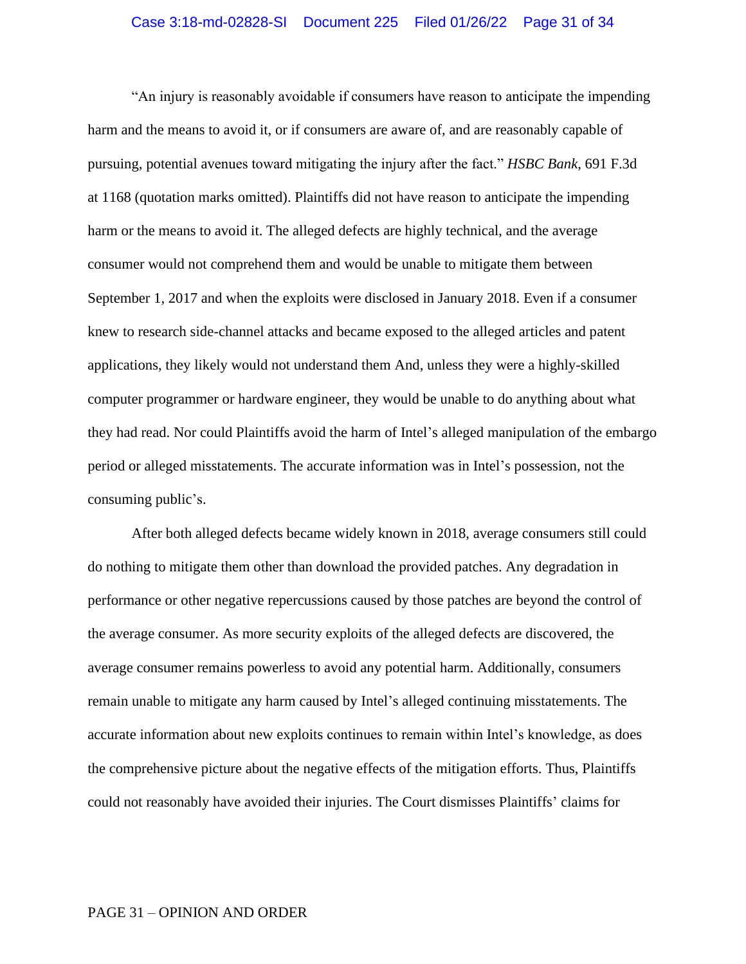"An injury is reasonably avoidable if consumers have reason to anticipate the impending harm and the means to avoid it, or if consumers are aware of, and are reasonably capable of pursuing, potential avenues toward mitigating the injury after the fact." *HSBC Bank*, 691 F.3d at 1168 (quotation marks omitted). Plaintiffs did not have reason to anticipate the impending harm or the means to avoid it. The alleged defects are highly technical, and the average consumer would not comprehend them and would be unable to mitigate them between September 1, 2017 and when the exploits were disclosed in January 2018. Even if a consumer knew to research side-channel attacks and became exposed to the alleged articles and patent applications, they likely would not understand them And, unless they were a highly-skilled computer programmer or hardware engineer, they would be unable to do anything about what they had read. Nor could Plaintiffs avoid the harm of Intel's alleged manipulation of the embargo period or alleged misstatements. The accurate information was in Intel's possession, not the consuming public's.

After both alleged defects became widely known in 2018, average consumers still could do nothing to mitigate them other than download the provided patches. Any degradation in performance or other negative repercussions caused by those patches are beyond the control of the average consumer. As more security exploits of the alleged defects are discovered, the average consumer remains powerless to avoid any potential harm. Additionally, consumers remain unable to mitigate any harm caused by Intel's alleged continuing misstatements. The accurate information about new exploits continues to remain within Intel's knowledge, as does the comprehensive picture about the negative effects of the mitigation efforts. Thus, Plaintiffs could not reasonably have avoided their injuries. The Court dismisses Plaintiffs' claims for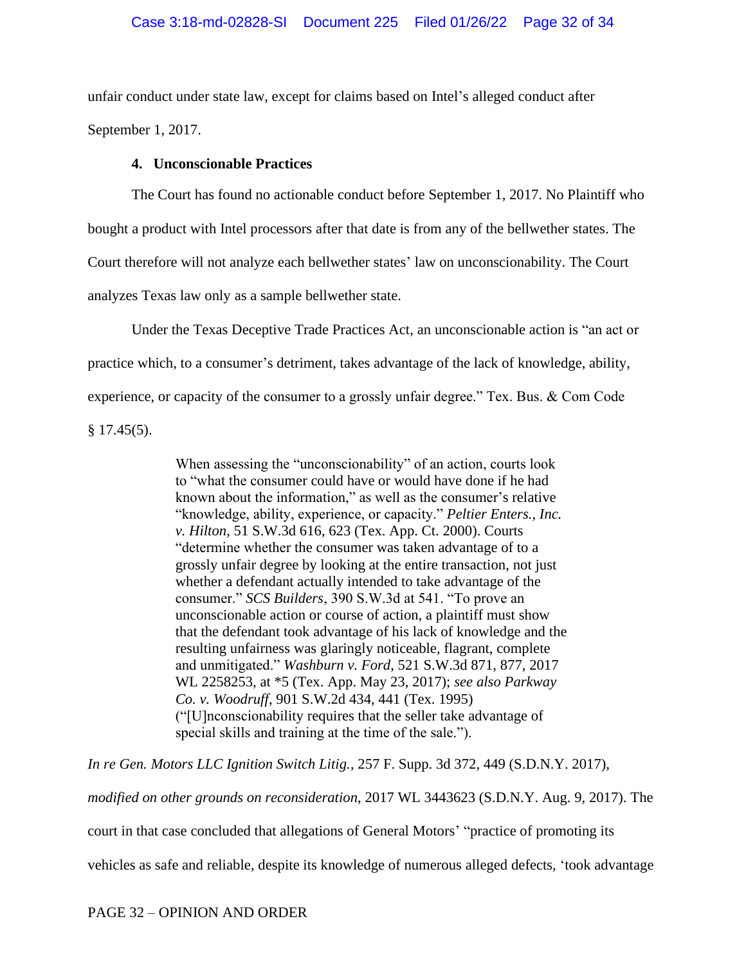unfair conduct under state law, except for claims based on Intel's alleged conduct after September 1, 2017.

# **4. Unconscionable Practices**

The Court has found no actionable conduct before September 1, 2017. No Plaintiff who bought a product with Intel processors after that date is from any of the bellwether states. The Court therefore will not analyze each bellwether states' law on unconscionability. The Court analyzes Texas law only as a sample bellwether state.

Under the Texas Deceptive Trade Practices Act, an unconscionable action is "an act or practice which, to a consumer's detriment, takes advantage of the lack of knowledge, ability, experience, or capacity of the consumer to a grossly unfair degree." Tex. Bus. & Com Code  $§$  17.45(5).

> When assessing the "unconscionability" of an action, courts look to "what the consumer could have or would have done if he had known about the information," as well as the consumer's relative "knowledge, ability, experience, or capacity." *Peltier Enters., Inc. v. Hilton*, 51 S.W.3d 616, 623 (Tex. App. Ct. 2000). Courts "determine whether the consumer was taken advantage of to a grossly unfair degree by looking at the entire transaction, not just whether a defendant actually intended to take advantage of the consumer." *SCS Builders*, 390 S.W.3d at 541. "To prove an unconscionable action or course of action, a plaintiff must show that the defendant took advantage of his lack of knowledge and the resulting unfairness was glaringly noticeable, flagrant, complete and unmitigated." *Washburn v. Ford*, 521 S.W.3d 871, 877, 2017 WL 2258253, at \*5 (Tex. App. May 23, 2017); *see also Parkway Co. v. Woodruff*, 901 S.W.2d 434, 441 (Tex. 1995) ("[U]nconscionability requires that the seller take advantage of special skills and training at the time of the sale.").

*In re Gen. Motors LLC Ignition Switch Litig.*, 257 F. Supp. 3d 372, 449 (S.D.N.Y. 2017),

*modified on other grounds on reconsideration*, 2017 WL 3443623 (S.D.N.Y. Aug. 9, 2017). The

court in that case concluded that allegations of General Motors' "practice of promoting its

vehicles as safe and reliable, despite its knowledge of numerous alleged defects, 'took advantage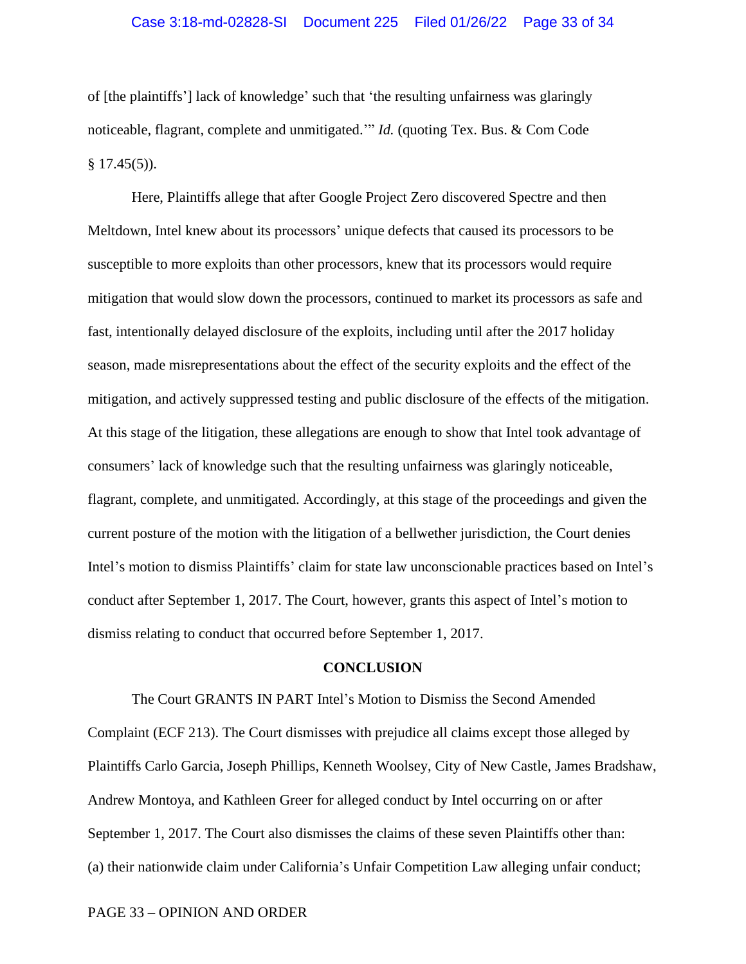of [the plaintiffs'] lack of knowledge' such that 'the resulting unfairness was glaringly noticeable, flagrant, complete and unmitigated.'" *Id.* (quoting Tex. Bus. & Com Code  $§ 17.45(5)$ .

Here, Plaintiffs allege that after Google Project Zero discovered Spectre and then Meltdown, Intel knew about its processors' unique defects that caused its processors to be susceptible to more exploits than other processors, knew that its processors would require mitigation that would slow down the processors, continued to market its processors as safe and fast, intentionally delayed disclosure of the exploits, including until after the 2017 holiday season, made misrepresentations about the effect of the security exploits and the effect of the mitigation, and actively suppressed testing and public disclosure of the effects of the mitigation. At this stage of the litigation, these allegations are enough to show that Intel took advantage of consumers' lack of knowledge such that the resulting unfairness was glaringly noticeable, flagrant, complete, and unmitigated. Accordingly, at this stage of the proceedings and given the current posture of the motion with the litigation of a bellwether jurisdiction, the Court denies Intel's motion to dismiss Plaintiffs' claim for state law unconscionable practices based on Intel's conduct after September 1, 2017. The Court, however, grants this aspect of Intel's motion to dismiss relating to conduct that occurred before September 1, 2017.

#### **CONCLUSION**

The Court GRANTS IN PART Intel's Motion to Dismiss the Second Amended Complaint (ECF 213). The Court dismisses with prejudice all claims except those alleged by Plaintiffs Carlo Garcia, Joseph Phillips, Kenneth Woolsey, City of New Castle, James Bradshaw, Andrew Montoya, and Kathleen Greer for alleged conduct by Intel occurring on or after September 1, 2017. The Court also dismisses the claims of these seven Plaintiffs other than: (a) their nationwide claim under California's Unfair Competition Law alleging unfair conduct;